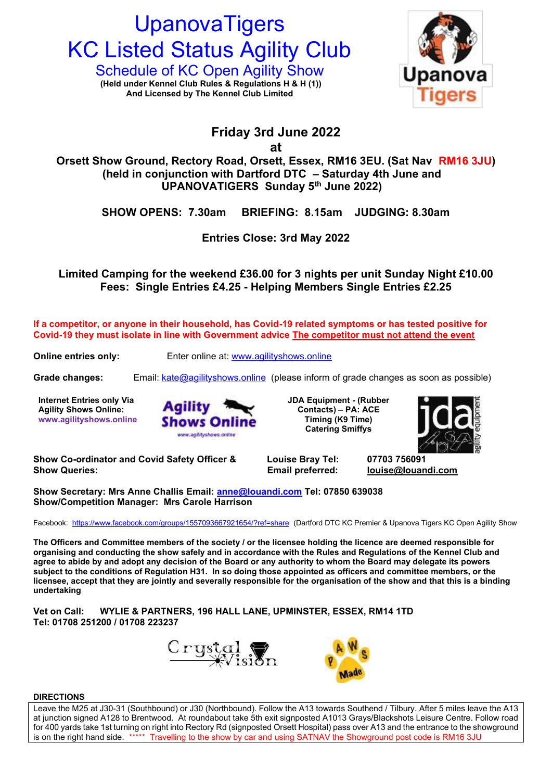# **UpanovaTigers KC Listed Status Agility Club**

Schedule of KC Open Agility Show **Upanova** (Held under Kennel Club Rules & Regulations H & H (1))<br>And Licensed by The Kennel Club Limited **And Licensed by The Kennel Club Limited**



# **Friday 3rd June 2022**

**at**

**Orsett Show Ground, Rectory Road, Orsett, Essex, RM16 3EU. (Sat Nav RM16 3JU) (held in conjunction with Dartford DTC – Saturday 4th June and UPANOVATIGERS Sunday 5th June 2022)**

**SHOW OPENS: 7.30am BRIEFING: 8.15am JUDGING: 8.30am**

**Entries Close: 3rd May 2022**

**Limited Camping for the weekend £36.00 for 3 nights per unit Sunday Night £10.00 Fees: Single Entries £4.25 - Helping Members Single Entries £2.25**

**If a competitor, or anyone in their household, has Covid-19 related symptoms or has tested positive for Covid-19 they must isolate in line with Government advice The competitor must not attend the event**

**Online entries only:** Enter online at: [www.agilityshows.online](http://www.agilityshows.online/)

**Grade changes:** Email: [kate@agilityshows.online](mailto:kate@agilityshows.online) (please inform of grade changes as soon as possible)

**Internet Entries only Via Agility Shows Online: www.agilityshows.online**



**JDA Equipment - (Rubber Contacts) – PA: ACE Timing (K9 Time) Catering Smiffys** 



**Show Co-ordinator and Covid Safety Officer & Louise Bray Tel: 07703 756091 Show Queries: Email preferred: [louise@louandi.com](mailto:louise@louandi.com)**

**Show Secretary: Mrs Anne Challis Email: [anne@louandi.com](mailto:anne@louandi.com) Tel: 07850 639038 Show/Competition Manager: Mrs Carole Harrison**

Facebook: <https://www.facebook.com/groups/1557093667921654/?ref=share>(Dartford DTC KC Premier & Upanova Tigers KC Open Agility Show

**The Officers and Committee members of the society / or the licensee holding the licence are deemed responsible for organising and conducting the show safely and in accordance with the Rules and Regulations of the Kennel Club and agree to abide by and adopt any decision of the Board or any authority to whom the Board may delegate its powers subject to the conditions of Regulation H31. In so doing those appointed as officers and committee members, or the licensee, accept that they are jointly and severally responsible for the organisation of the show and that this is a binding undertaking**

**Vet on Call: WYLIE & PARTNERS, 196 HALL LANE, UPMINSTER, ESSEX, RM14 1TD Tel: 01708 251200 / 01708 223237**





# **DIRECTIONS**

Leave the M25 at J30-31 (Southbound) or J30 (Northbound). Follow the A13 towards Southend / Tilbury. After 5 miles leave the A13 at junction signed A128 to Brentwood. At roundabout take 5th exit signposted A1013 Grays/Blackshots Leisure Centre. Follow road for 400 yards take 1st turning on right into Rectory Rd (signposted Orsett Hospital) pass over A13 and the entrance to the showground is on the right hand side. \*\*\*\*\* Travelling to the show by car and using SATNAV the Showground post code is RM16 3JU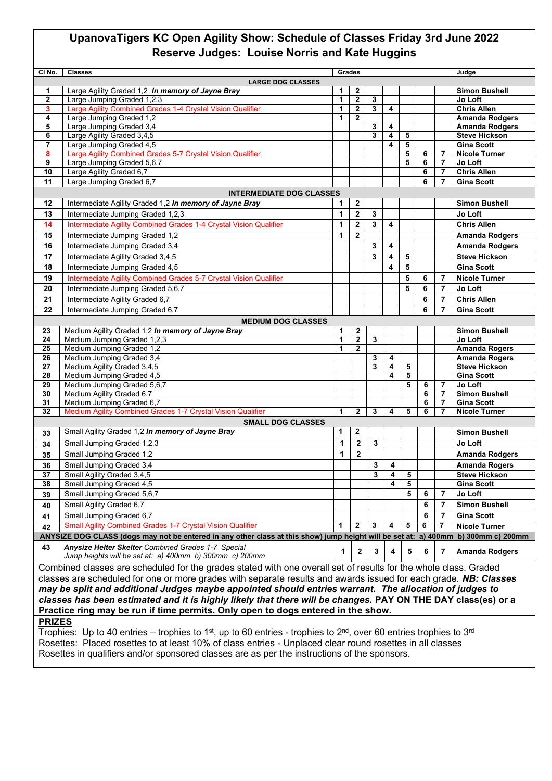# **UpanovaTigers KC Open Agility Show: Schedule of Classes Friday 3rd June 2022 Reserve Judges: Louise Norris and Kate Huggins**

| CI No.                                                                                                           | <b>Classes</b>                                                                                                   | Grades<br>Judge |                  |              |                         |        |   |                |                                           |  |  |
|------------------------------------------------------------------------------------------------------------------|------------------------------------------------------------------------------------------------------------------|-----------------|------------------|--------------|-------------------------|--------|---|----------------|-------------------------------------------|--|--|
| <b>LARGE DOG CLASSES</b>                                                                                         |                                                                                                                  |                 |                  |              |                         |        |   |                |                                           |  |  |
| 1                                                                                                                | Large Agility Graded 1,2 In memory of Jayne Bray                                                                 | 1               | $\overline{2}$   |              |                         |        |   |                | <b>Simon Bushell</b>                      |  |  |
| $\mathbf{2}$                                                                                                     | Large Jumping Graded 1,2,3                                                                                       | 1               | $\mathbf{2}$     | 3            |                         |        |   |                | Jo Loft                                   |  |  |
| 3                                                                                                                | Large Agility Combined Grades 1-4 Crystal Vision Qualifier                                                       | 1               | $\mathbf{2}$     | 3            | 4                       |        |   |                | <b>Chris Allen</b>                        |  |  |
| 4                                                                                                                | Large Jumping Graded 1,2                                                                                         | 1               | $\mathbf{2}$     |              |                         |        |   |                | <b>Amanda Rodgers</b>                     |  |  |
| 5                                                                                                                | Large Jumping Graded 3,4                                                                                         |                 |                  | 3            | 4                       |        |   |                | <b>Amanda Rodgers</b>                     |  |  |
| 6                                                                                                                | Large Agility Graded 3,4,5                                                                                       |                 |                  | 3            | 4                       | 5      |   |                | <b>Steve Hickson</b><br><b>Gina Scott</b> |  |  |
| $\overline{7}$<br>8                                                                                              | Large Jumping Graded 4,5<br>Large Agility Combined Grades 5-7 Crystal Vision Qualifier                           |                 |                  |              | 4                       | 5<br>5 | 6 | 7              | <b>Nicole Turner</b>                      |  |  |
| 9                                                                                                                | Large Jumping Graded 5,6,7                                                                                       |                 |                  |              |                         | 5      | 6 | $\overline{7}$ | Jo Loft                                   |  |  |
| 10                                                                                                               | Large Agility Graded 6,7                                                                                         |                 |                  |              |                         |        | 6 | $\overline{7}$ | <b>Chris Allen</b>                        |  |  |
| 11                                                                                                               | Large Jumping Graded 6,7                                                                                         |                 |                  |              |                         |        | 6 | $\overline{7}$ | <b>Gina Scott</b>                         |  |  |
|                                                                                                                  |                                                                                                                  |                 |                  |              |                         |        |   |                |                                           |  |  |
| 12                                                                                                               | <b>INTERMEDIATE DOG CLASSES</b>                                                                                  | 1               | $\mathbf{2}$     |              |                         |        |   |                |                                           |  |  |
|                                                                                                                  | Intermediate Agility Graded 1,2 In memory of Jayne Bray                                                          |                 |                  |              |                         |        |   |                | <b>Simon Bushell</b>                      |  |  |
| 13                                                                                                               | Intermediate Jumping Graded 1,2,3                                                                                | 1               | $\mathbf{2}$     | $\mathbf{3}$ |                         |        |   |                | Jo Loft                                   |  |  |
| 14                                                                                                               | Intermediate Agility Combined Grades 1-4 Crystal Vision Qualifier                                                | 1               | $\mathbf 2$      | 3            | $\overline{\mathbf{4}}$ |        |   |                | <b>Chris Allen</b>                        |  |  |
| 15                                                                                                               | Intermediate Jumping Graded 1,2                                                                                  | 1               | $\mathbf{2}$     |              |                         |        |   |                | <b>Amanda Rodgers</b>                     |  |  |
| 16                                                                                                               | Intermediate Jumping Graded 3,4                                                                                  |                 |                  | 3            | 4                       |        |   |                | <b>Amanda Rodgers</b>                     |  |  |
| 17                                                                                                               | Intermediate Agility Graded 3,4,5                                                                                |                 |                  | 3            | 4                       | 5      |   |                | <b>Steve Hickson</b>                      |  |  |
| 18                                                                                                               | Intermediate Jumping Graded 4,5                                                                                  |                 |                  |              | 4                       | 5      |   |                | <b>Gina Scott</b>                         |  |  |
| 19                                                                                                               | Intermediate Agility Combined Grades 5-7 Crystal Vision Qualifier                                                |                 |                  |              |                         | 5      | 6 | 7              | <b>Nicole Turner</b>                      |  |  |
| 20                                                                                                               | Intermediate Jumping Graded 5,6,7                                                                                |                 |                  |              |                         | 5      | 6 | $\overline{7}$ | Jo Loft                                   |  |  |
| 21                                                                                                               | Intermediate Agility Graded 6,7                                                                                  |                 |                  |              |                         |        | 6 | $\overline{7}$ | <b>Chris Allen</b>                        |  |  |
| 22                                                                                                               | Intermediate Jumping Graded 6,7                                                                                  |                 |                  |              |                         |        | 6 | $\overline{7}$ | <b>Gina Scott</b>                         |  |  |
|                                                                                                                  |                                                                                                                  |                 |                  |              |                         |        |   |                |                                           |  |  |
|                                                                                                                  | <b>MEDIUM DOG CLASSES</b><br>Medium Agility Graded 1,2 In memory of Jayne Bray                                   | 1               | $\boldsymbol{2}$ |              |                         |        |   |                | <b>Simon Bushell</b>                      |  |  |
| 23<br>24                                                                                                         | Medium Jumping Graded 1,2,3                                                                                      | 1               | $\mathbf 2$      | 3            |                         |        |   |                | Jo Loft                                   |  |  |
| 25                                                                                                               | Medium Jumping Graded 1,2                                                                                        | 1               | $\mathbf{2}$     |              |                         |        |   |                | <b>Amanda Rogers</b>                      |  |  |
| 26                                                                                                               | Medium Jumping Graded 3,4                                                                                        |                 |                  | 3            | 4                       |        |   |                | <b>Amanda Rogers</b>                      |  |  |
| 27                                                                                                               | Medium Agility Graded 3,4,5                                                                                      |                 |                  | 3            | 4                       | 5      |   |                | <b>Steve Hickson</b>                      |  |  |
| 28                                                                                                               | Medium Jumping Graded 4,5                                                                                        |                 |                  |              | 4                       | 5      |   |                | <b>Gina Scott</b>                         |  |  |
| 29                                                                                                               | Medium Jumping Graded 5,6,7                                                                                      |                 |                  |              |                         | 5      | 6 | 7              | Jo Loft                                   |  |  |
| 30                                                                                                               | Medium Agility Graded 6,7                                                                                        |                 |                  |              |                         |        | 6 | $\overline{7}$ | <b>Simon Bushell</b>                      |  |  |
| 31                                                                                                               | Medium Jumping Graded 6,7                                                                                        |                 |                  |              |                         |        | 6 | $\overline{7}$ | <b>Gina Scott</b>                         |  |  |
| 32                                                                                                               | Medium Agility Combined Grades 1-7 Crystal Vision Qualifier                                                      | $\mathbf{1}$    | $\mathbf 2$      | 3            | 4                       | 5      | 6 | $\overline{7}$ | <b>Nicole Turner</b>                      |  |  |
|                                                                                                                  | <b>SMALL DOG CLASSES</b>                                                                                         |                 |                  |              |                         |        |   |                |                                           |  |  |
| 33                                                                                                               | Small Agility Graded 1,2 In memory of Jayne Bray                                                                 | 1               | $\mathbf{2}$     |              |                         |        |   |                | <b>Simon Bushell</b>                      |  |  |
| 34                                                                                                               | Small Jumping Graded 1,2,3                                                                                       | 1               | $\overline{2}$   | $\mathbf{3}$ |                         |        |   |                | Jo Loft                                   |  |  |
| 35                                                                                                               | Small Jumping Graded 1,2                                                                                         | 1               | $\overline{2}$   |              |                         |        |   |                | <b>Amanda Rodgers</b>                     |  |  |
| 36                                                                                                               | Small Jumping Graded 3,4                                                                                         |                 |                  | 3            | 4                       |        |   |                | <b>Amanda Rogers</b>                      |  |  |
| 37                                                                                                               | Small Agility Graded 3,4,5                                                                                       |                 |                  | 3            | 4                       | 5      |   |                | <b>Steve Hickson</b>                      |  |  |
| 38                                                                                                               | Small Jumping Graded 4,5                                                                                         |                 |                  |              | 4                       | 5      |   |                | Gina Scott                                |  |  |
| 39                                                                                                               | Small Jumping Graded 5,6,7                                                                                       |                 |                  |              |                         | 5      | 6 | $\overline{7}$ | Jo Loft                                   |  |  |
| 40                                                                                                               | Small Agility Graded 6,7                                                                                         |                 |                  |              |                         |        | 6 | 7              | <b>Simon Bushell</b>                      |  |  |
| 41                                                                                                               | Small Jumping Graded 6,7                                                                                         |                 |                  |              |                         |        | 6 | 7              | <b>Gina Scott</b>                         |  |  |
| 42                                                                                                               | <b>Small Agility Combined Grades 1-7 Crystal Vision Qualifier</b>                                                | 1               | $\overline{2}$   | 3            | 4                       | 5      | 6 | 7              | <b>Nicole Turner</b>                      |  |  |
|                                                                                                                  | ANYSIZE DOG CLASS (dogs may not be entered in any other class at this show) jump height will be set at: a) 400mm |                 |                  |              |                         |        |   |                | b) 300mm c) 200mm                         |  |  |
| 43                                                                                                               | Anysize Helter Skelter Combined Grades 1-7 Special                                                               |                 |                  |              |                         |        |   |                |                                           |  |  |
|                                                                                                                  | Jump heights will be set at: a) 400mm b) 300mm c) 200mm                                                          | 1               | $\mathbf{2}$     | 3            | 4                       | 5      | 6 | 7              | <b>Amanda Rodgers</b>                     |  |  |
| Combined classes are scheduled for the grades stated with one overall set of results for the whole class. Graded |                                                                                                                  |                 |                  |              |                         |        |   |                |                                           |  |  |
| classes are scheduled for one or more grades with separate results and awards issued for each grade. NB: Classes |                                                                                                                  |                 |                  |              |                         |        |   |                |                                           |  |  |
| may be split and additional Judges maybe appointed should entries warrant. The allocation of judges to           |                                                                                                                  |                 |                  |              |                         |        |   |                |                                           |  |  |
| classes has been estimated and it is highly likely that there will be changes. PAY ON THE DAY class(es) or a     |                                                                                                                  |                 |                  |              |                         |        |   |                |                                           |  |  |
|                                                                                                                  |                                                                                                                  |                 |                  |              |                         |        |   |                |                                           |  |  |
|                                                                                                                  | Practice ring may be run if time permits. Only open to dogs entered in the show.                                 |                 |                  |              |                         |        |   |                |                                           |  |  |
| <b>PRIZES</b>                                                                                                    |                                                                                                                  |                 |                  |              |                         |        |   |                |                                           |  |  |

Trophies: Up to 40 entries – trophies to 1st, up to 60 entries - trophies to 2<sup>nd</sup>, over 60 entries trophies to 3<sup>rd</sup> Rosettes: Placed rosettes to at least 10% of class entries - Unplaced clear round rosettes in all classes Rosettes in qualifiers and/or sponsored classes are as per the instructions of the sponsors.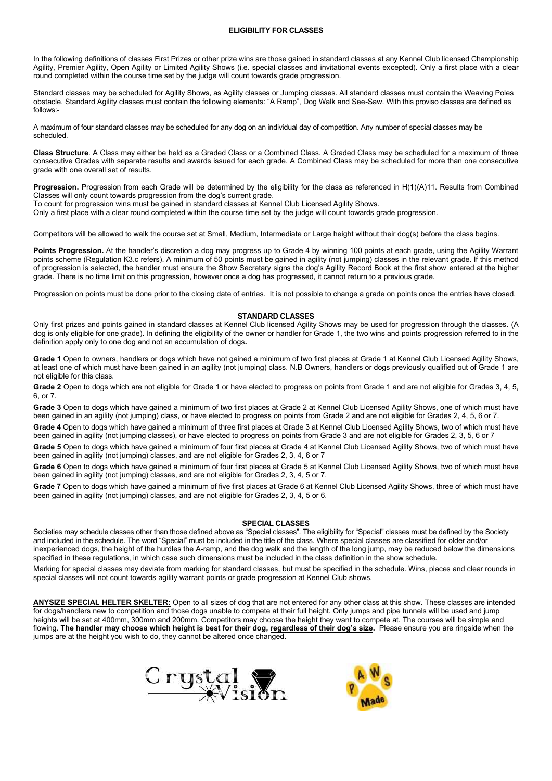#### **ELIGIBILITY FOR CLASSES**

In the following definitions of classes First Prizes or other prize wins are those gained in standard classes at any Kennel Club licensed Championship Agility, Premier Agility, Open Agility or Limited Agility Shows (i.e. special classes and invitational events excepted). Only a first place with a clear round completed within the course time set by the judge will count towards grade progression.

Standard classes may be scheduled for Agility Shows, as Agility classes or Jumping classes. All standard classes must contain the Weaving Poles obstacle. Standard Agility classes must contain the following elements: "A Ramp", Dog Walk and See-Saw. With this proviso classes are defined as follows:-

A maximum of four standard classes may be scheduled for any dog on an individual day of competition. Any number of special classes may be scheduled.

**Class Structure**. A Class may either be held as a Graded Class or a Combined Class. A Graded Class may be scheduled for a maximum of three consecutive Grades with separate results and awards issued for each grade. A Combined Class may be scheduled for more than one consecutive grade with one overall set of results.

Progression. Progression from each Grade will be determined by the eligibility for the class as referenced in H(1)(A)11. Results from Combined Classes will only count towards progression from the dog's current grade.

To count for progression wins must be gained in standard classes at Kennel Club Licensed Agility Shows.

Only a first place with a clear round completed within the course time set by the judge will count towards grade progression.

Competitors will be allowed to walk the course set at Small, Medium, Intermediate or Large height without their dog(s) before the class begins.

**Points Progression.** At the handler's discretion a dog may progress up to Grade 4 by winning 100 points at each grade, using the Agility Warrant points scheme (Regulation K3.c refers). A minimum of 50 points must be gained in agility (not jumping) classes in the relevant grade. If this method of progression is selected, the handler must ensure the Show Secretary signs the dog's Agility Record Book at the first show entered at the higher grade. There is no time limit on this progression, however once a dog has progressed, it cannot return to a previous grade.

Progression on points must be done prior to the closing date of entries. It is not possible to change a grade on points once the entries have closed.

#### **STANDARD CLASSES**

Only first prizes and points gained in standard classes at Kennel Club licensed Agility Shows may be used for progression through the classes. (A dog is only eligible for one grade). In defining the eligibility of the owner or handler for Grade 1, the two wins and points progression referred to in the definition apply only to one dog and not an accumulation of dogs**.** 

**Grade 1** Open to owners, handlers or dogs which have not gained a minimum of two first places at Grade 1 at Kennel Club Licensed Agility Shows, at least one of which must have been gained in an agility (not jumping) class. N.B Owners, handlers or dogs previously qualified out of Grade 1 are not eligible for this class.

**Grade 2** Open to dogs which are not eligible for Grade 1 or have elected to progress on points from Grade 1 and are not eligible for Grades 3, 4, 5, 6, or 7.

**Grade 3** Open to dogs which have gained a minimum of two first places at Grade 2 at Kennel Club Licensed Agility Shows, one of which must have been gained in an agility (not jumping) class, or have elected to progress on points from Grade 2 and are not eligible for Grades 2, 4, 5, 6 or 7.

**Grade 4** Open to dogs which have gained a minimum of three first places at Grade 3 at Kennel Club Licensed Agility Shows, two of which must have been gained in agility (not jumping classes), or have elected to progress on points from Grade 3 and are not eligible for Grades 2, 3, 5, 6 or 7

**Grade 5** Open to dogs which have gained a minimum of four first places at Grade 4 at Kennel Club Licensed Agility Shows, two of which must have been gained in agility (not jumping) classes, and are not eligible for Grades 2, 3, 4, 6 or 7

**Grade 6** Open to dogs which have gained a minimum of four first places at Grade 5 at Kennel Club Licensed Agility Shows, two of which must have been gained in agility (not jumping) classes, and are not eligible for Grades 2, 3, 4, 5 or 7.

**Grade 7** Open to dogs which have gained a minimum of five first places at Grade 6 at Kennel Club Licensed Agility Shows, three of which must have been gained in agility (not jumping) classes, and are not eligible for Grades 2, 3, 4, 5 or 6.

#### **SPECIAL CLASSES**

Societies may schedule classes other than those defined above as "Special classes". The eligibility for "Special" classes must be defined by the Society and included in the schedule. The word "Special" must be included in the title of the class. Where special classes are classified for older and/or inexperienced dogs, the height of the hurdles the A-ramp, and the dog walk and the length of the long jump, may be reduced below the dimensions specified in these regulations, in which case such dimensions must be included in the class definition in the show schedule.

Marking for special classes may deviate from marking for standard classes, but must be specified in the schedule. Wins, places and clear rounds in special classes will not count towards agility warrant points or grade progression at Kennel Club shows.

**ANYSIZE SPECIAL HELTER SKELTER:** Open to all sizes of dog that are not entered for any other class at this show. These classes are intended for dogs/handlers new to competition and those dogs unable to compete at their full height. Only jumps and pipe tunnels will be used and jump heights will be set at 400mm, 300mm and 200mm. Competitors may choose the height they want to compete at. The courses will be simple and flowing. **The handler may choose which height is best for their dog, regardless of their dog's size.** Please ensure you are ringside when the jumps are at the height you wish to do, they cannot be altered once changed.



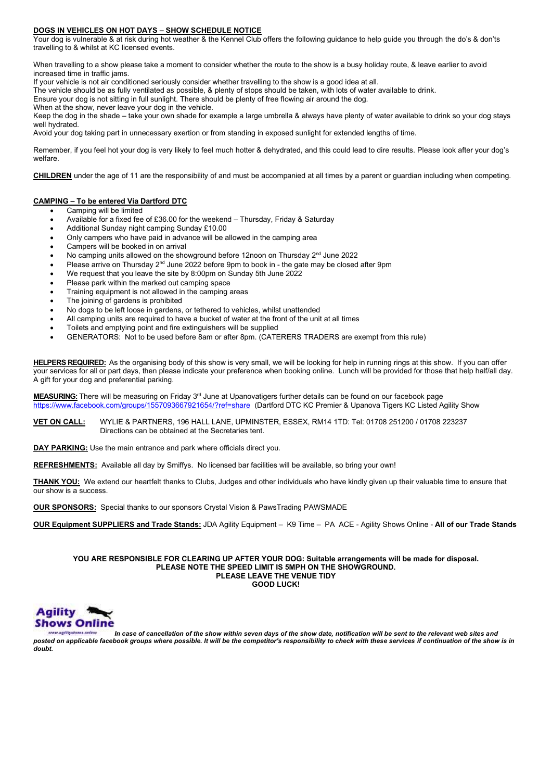#### **DOGS IN VEHICLES ON HOT DAYS – SHOW SCHEDULE NOTICE**

Your dog is vulnerable & at risk during hot weather & the Kennel Club offers the following guidance to help guide you through the do's & don'ts travelling to & whilst at KC licensed events.

When travelling to a show please take a moment to consider whether the route to the show is a busy holiday route, & leave earlier to avoid increased time in traffic jams.

If your vehicle is not air conditioned seriously consider whether travelling to the show is a good idea at all.

The vehicle should be as fully ventilated as possible, & plenty of stops should be taken, with lots of water available to drink.

Ensure your dog is not sitting in full sunlight. There should be plenty of free flowing air around the dog.

When at the show, never leave your dog in the vehicle.

Keep the dog in the shade – take your own shade for example a large umbrella & always have plenty of water available to drink so your dog stays well hydrated.

Avoid your dog taking part in unnecessary exertion or from standing in exposed sunlight for extended lengths of time.

Remember, if you feel hot your dog is very likely to feel much hotter & dehydrated, and this could lead to dire results. Please look after your dog's welfare.

**CHILDREN** under the age of 11 are the responsibility of and must be accompanied at all times by a parent or guardian including when competing.

# **CAMPING – To be entered Via Dartford DTC**

- Camping will be limited
- Available for a fixed fee of £36.00 for the weekend Thursday, Friday & Saturday
- Additional Sunday night camping Sunday £10.00
- Only campers who have paid in advance will be allowed in the camping area
- Campers will be booked in on arrival
- No camping units allowed on the showground before 12noon on Thursday  $2<sup>nd</sup>$  June 2022
- Please arrive on Thursday  $2<sup>nd</sup>$  June 2022 before 9pm to book in the gate may be closed after 9pm
- We request that you leave the site by 8:00pm on Sunday 5th June 2022
- Please park within the marked out camping space
- Training equipment is not allowed in the camping areas
- The joining of gardens is prohibited
- No dogs to be left loose in gardens, or tethered to vehicles, whilst unattended
- All camping units are required to have a bucket of water at the front of the unit at all times
- Toilets and emptying point and fire extinguishers will be supplied
- GENERATORS: Not to be used before 8am or after 8pm. (CATERERS TRADERS are exempt from this rule)

**HELPERS REQUIRED:** As the organising body of this show is very small, we will be looking for help in running rings at this show. If you can offer your services for all or part days, then please indicate your preference when booking online. Lunch will be provided for those that help half/all day. A gift for your dog and preferential parking.

**MEASURING:** There will be measuring on Friday 3<sup>rd</sup> June at Upanovatigers further details can be found on our facebook page<br>https://www.facebook.com/groups/1557093667921654/?ref=share. (Dartford DTC KC Premier & Upanova T 57093667921654/?ref=share (Dartford DTC KC Premier & Upanova Tigers KC Listed Agility Show

**VET ON CALL:** WYLIE & PARTNERS, 196 HALL LANE, UPMINSTER, ESSEX, RM14 1TD: Tel: 01708 251200 / 01708 223237 Directions can be obtained at the Secretaries tent.

**DAY PARKING:** Use the main entrance and park where officials direct you.

**REFRESHMENTS:** Available all day by Smiffys. No licensed bar facilities will be available, so bring your own!

**THANK YOU:** We extend our heartfelt thanks to Clubs, Judges and other individuals who have kindly given up their valuable time to ensure that our show is a success.

**OUR SPONSORS:** Special thanks to our sponsors Crystal Vision & PawsTrading PAWSMADE

**OUR Equipment SUPPLIERS and Trade Stands:** JDA Agility Equipment – K9 Time – PA ACE - Agility Shows Online - **All of our Trade Stands**

**YOU ARE RESPONSIBLE FOR CLEARING UP AFTER YOUR DOG: Suitable arrangements will be made for disposal. PLEASE NOTE THE SPEED LIMIT IS 5MPH ON THE SHOWGROUND. PLEASE LEAVE THE VENUE TIDY GOOD LUCK!**



*In case of cancellation of the show within seven days of the show date, notification will be sent to the relevant web sites and posted on applicable facebook groups where possible. It will be the competitor's responsibility to check with these services if continuation of the show is in doubt.*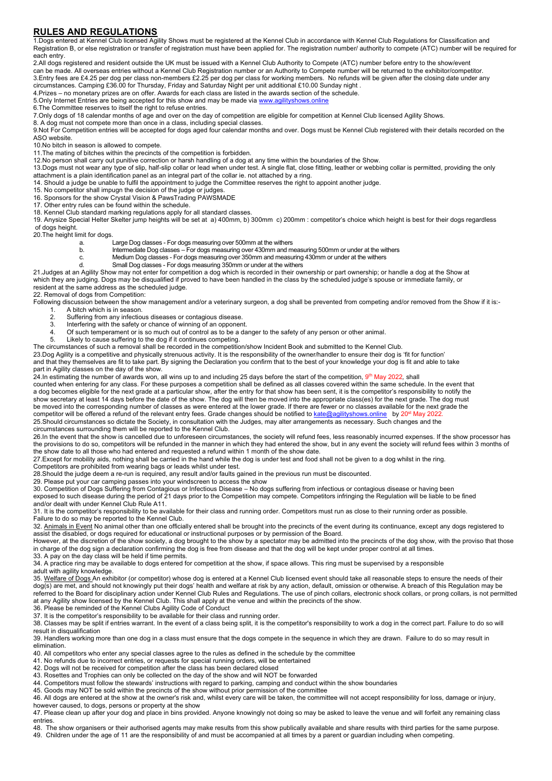# **RULES AND REGULATIONS**

1.Dogs entered at Kennel Club licensed Agility Shows must be registered at the Kennel Club in accordance with Kennel Club Regulations for Classification and Registration B, or else registration or transfer of registration must have been applied for. The registration number/ authority to compete (ATC) number will be required for each entry.

2.All dogs registered and resident outside the UK must be issued with a Kennel Club Authority to Compete (ATC) number before entry to the show/event can be made. All overseas entries without a Kennel Club Registration number or an Authority to Compete number will be returned to the exhibitor/competitor. 3.Entry fees are £4.25 per dog per class non-members £2.25 per dog per class for working members. No refunds will be given after the closing date under any

circumstances. Camping £36.00 for Thursday, Friday and Saturday Night per unit additional £10.00 Sunday night . 4.Prizes – no monetary prizes are on offer. Awards for each class are listed in the awards section of the schedule.

5. Only Internet Entries are being accepted for this show and may be made vi[a www.agilityshows.online](http://www.agilityshows.online/)

6.The Committee reserves to itself the right to refuse entries.

7.Only dogs of 18 calendar months of age and over on the day of competition are eligible for competition at Kennel Club licensed Agility Shows.

8. A dog must not compete more than once in a class, including special classes.

9.Not For Competition entries will be accepted for dogs aged four calendar months and over. Dogs must be Kennel Club registered with their details recorded on the ASO website.

10.No bitch in season is allowed to compete.

11.The mating of bitches within the precincts of the competition is forbidden.

12.No person shall carry out punitive correction or harsh handling of a dog at any time within the boundaries of the Show.

13.Dogs must not wear any type of slip, half-slip collar or lead when under test. A single flat, close fitting, leather or webbing collar is permitted, providing the only attachment is a plain identification panel as an integral part of the collar ie. not attached by a ring.

14. Should a judge be unable to fulfil the appointment to judge the Committee reserves the right to appoint another judge.

15. No competitor shall impugn the decision of the judge or judges.

16. Sponsors for the show Crystal Vision & PawsTrading PAWSMADE 17. Other entry rules can be found within the schedule.

18. Kennel Club standard marking regulations apply for all standard classes.

19. Anysize Special Helter Skelter jump heights will be set at a) 400mm, b) 300mm c) 200mm : competitor's choice which height is best for their dogs regardless of dogs height.

20.The height limit for dogs.

a. Large Dog classes - For dogs measuring over 500mm at the withers<br>b. lettermediate Dog classes – For dogs measuring over 430mm and mo

b. Intermediate Dog classes – For dogs measuring over 430mm and measuring 500mm or under at the withers

- c. Medium Dog classes For dogs measuring over 350mm and measuring 430mm or under at the withers
	- Small Dog classes For dogs measuring 350mm or under at the withers

21.Judges at an Agility Show may not enter for competition a dog which is recorded in their ownership or part ownership; or handle a dog at the Show at which they are judging. Dogs may be disqualified if proved to have been handled in the class by the scheduled judge's spouse or immediate family, or resident at the same address as the scheduled judge. 22. Removal of dogs from Competition:

Following discussion between the show management and/or a veterinary surgeon, a dog shall be prevented from competing and/or removed from the Show if it is:-1. A bitch which is in season.<br>2. Suffering from any infection

- 2. Suffering from any infectious diseases or contagious disease.<br>3. Interfering with the safety or chance of winning of an opponent
- Interfering with the safety or chance of winning of an opponent.
- 4. Of such temperament or is so much out of control as to be a danger to the safety of any person or other animal.
- 5. Likely to cause suffering to the dog if it continues competing.

The circumstances of such a removal shall be recorded in the competition/show Incident Book and submitted to the Kennel Club. 23.Dog Agility is a competitive and physically strenuous activity. It is the responsibility of the owner/handler to ensure their dog is 'fit for function'

and that they themselves are fit to take part. By signing the Declaration you confirm that to the best of your knowledge your dog is fit and able to take part in Agility classes on the day of the show.

24.In estimating the number of awards won, all wins up to and including 25 days before the start of the competition, 9 th May 2022*,* shall counted when entering for any class. For these purposes a competition shall be defined as all classes covered within the same schedule. In the event that a dog becomes eligible for the next grade at a particular show, after the entry for that show has been sent, it is the competitor's responsibility to notify the show secretary at least 14 days before the date of the show. The dog will then be moved into the appropriate class(es) for the next grade. The dog must be moved into the corresponding number of classes as were entered at the lower grade. If there are fewer or no classes available for the next grade the competitor will be offered a refund of the relevant entry fees. Grade changes should be notified to [kate@agilityshows.online](mailto:kate@agilityshows.online) by 20<sup>st</sup> May 2022.

25.Should circumstances so dictate the Society, in consultation with the Judges, may alter arrangements as necessary. Such changes and the circumstances surrounding them will be reported to the Kennel Club.

26.In the event that the show is cancelled due to unforeseen circumstances, the society will refund fees, less reasonably incurred expenses. If the show processor has the provisions to do so, competitors will be refunded in the manner in which they had entered the show, but in any event the society will refund fees within 3 months of the show date to all those who had entered and requested a refund within 1 month of the show date.

27.Except for mobility aids, nothing shall be carried in the hand while the dog is under test and food shall not be given to a dog whilst in the ring.

Competitors are prohibited from wearing bags or leads whilst under test.

28.Should the judge deem a re-run is required, any result and/or faults gained in the previous run must be discounted.

29. Please put your car camping passes into your windscreen to access the show

30. Competition of Dogs Suffering from Contagious or Infectious Disease – No dogs suffering from infectious or contagious disease or having been

exposed to such disease during the period of 21 days prior to the Competition may compete. Competitors infringing the Regulation will be liable to be fined and/or dealt with under Kennel Club Rule A11.

31. It is the competitor's responsibility to be available for their class and running order. Competitors must run as close to their running order as possible. Failure to do so may be reported to the Kennel Club.

32. Animals in Event No animal other than one officially entered shall be brought into the precincts of the event during its continuance, except any dogs registered to assist the disabled, or dogs required for educational or instructional purposes or by permission of the Board.

However, at the discretion of the show society, a dog brought to the show by a spectator may be admitted into the precincts of the dog show, with the proviso that those in charge of the dog sign a declaration confirming the dog is free from disease and that the dog will be kept under proper control at all times.

33. A pay on the day class will be held if time permits.

34. A practice ring may be available to dogs entered for competition at the show, if space allows. This ring must be supervised by a responsible adult with agility knowledge.

35. Welfare of Dogs An exhibitor (or competitor) whose dog is entered at a Kennel Club licensed event should take all reasonable steps to ensure the needs of their dog(s) are met, and should not knowingly put their dogs' health and welfare at risk by any action, default, omission or otherwise. A breach of this Regulation may be referred to the Board for disciplinary action under Kennel Club Rules and Regulations. The use of pinch collars, electronic shock collars, or prong collars, is not permitted at any Agility show licensed by the Kennel Club. This shall apply at the venue and within the precincts of the show.

36. Please be reminded of the Kennel Clubs Agility Code of Conduct

37. It is the competitor's responsibility to be available for their class and running order.

38. Classes may be split if entries warrant. In the event of a class being split, it is the competitor's responsibility to work a dog in the correct part. Failure to do so will result in disqualification

39. Handlers working more than one dog in a class must ensure that the dogs compete in the sequence in which they are drawn. Failure to do so may result in elimination.

40. All competitors who enter any special classes agree to the rules as defined in the schedule by the committee

41. No refunds due to incorrect entries, or requests for special running orders, will be entertained

42. Dogs will not be received for competition after the class has been declared closed

43. Rosettes and Trophies can only be collected on the day of the show and will NOT be forwarded 44. Competitors must follow the stewards' instructions with regard to parking, camping and conduct within the show boundaries

45. Goods may NOT be sold within the precincts of the show without prior permission of the committee

46. All dogs are entered at the show at the owner's risk and, whilst every care will be taken, the committee will not accept responsibility for loss, damage or injury,

however caused, to dogs, persons or property at the show 47. Please clean up after your dog and place in bins provided. Anyone knowingly not doing so may be asked to leave the venue and will forfeit any remaining class entries.

48. The show organisers or their authorised agents may make results from this show publically available and share results with third parties for the same purpose.

49. Children under the age of 11 are the responsibility of and must be accompanied at all times by a parent or guardian including when competing.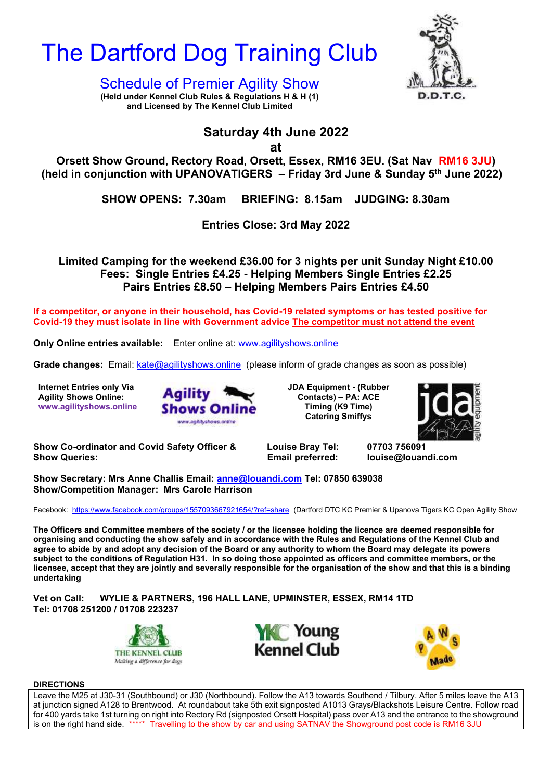



 $\Omega$  showles of December Agaility  $\Omega$  sex,  $\mathbb{R}^N$   $\mathbb{R}^N$ **Schedule of Premier Agility Show** 

**(Held under Kennel Club Rules & Regulations H & H (1) and Licensed by The Kennel Club Limited**

# **Saturday 4th June 2022**

**at**

**Orsett Show Ground, Rectory Road, Orsett, Essex, RM16 3EU. (Sat Nav RM16 3JU)** (held in conjunction with UPANOVATIGERS – Friday 3rd June & Sunday 5<sup>th</sup> June 2022)

**SHOW OPENS: 7.30am BRIEFING: 8.15am JUDGING: 8.30am**

**Entries Close: 3rd May 2022**

**Limited Camping for the weekend £36.00 for 3 nights per unit Sunday Night £10.00 Fees: Single Entries £4.25 - Helping Members Single Entries £2.25 Pairs Entries £8.50 – Helping Members Pairs Entries £4.50**

**If a competitor, or anyone in their household, has Covid-19 related symptoms or has tested positive for Covid-19 they must isolate in line with Government advice The competitor must not attend the event**

**Only Online entries available:** Enter online at: [www.agilityshows.online](http://www.agilityshows.online/)

**Grade changes:** Email: [kate@agilityshows.online](mailto:kate@agilityshows.online) (please inform of grade changes as soon as possible)

**Internet Entries only Via Agility Shows Online: www.agilityshows.online**



**JDA Equipment - (Rubber Contacts) – PA: ACE Timing (K9 Time) Catering Smiffys** 



**Show Co-ordinator and Covid Safety Officer & Louise Bray Tel: 07703 756091 Show Queries: Email preferred: [louise@louandi.com](mailto:louise@louandi.com)**

**Show Secretary: Mrs Anne Challis Email: [anne@louandi.com](mailto:anne@louandi.com) Tel: 07850 639038 Show/Competition Manager: Mrs Carole Harrison**

Facebook: <https://www.facebook.com/groups/1557093667921654/?ref=share>(Dartford DTC KC Premier & Upanova Tigers KC Open Agility Show

**The Officers and Committee members of the society / or the licensee holding the licence are deemed responsible for organising and conducting the show safely and in accordance with the Rules and Regulations of the Kennel Club and agree to abide by and adopt any decision of the Board or any authority to whom the Board may delegate its powers subject to the conditions of Regulation H31. In so doing those appointed as officers and committee members, or the licensee, accept that they are jointly and severally responsible for the organisation of the show and that this is a binding undertaking**

**Vet on Call: WYLIE & PARTNERS, 196 HALL LANE, UPMINSTER, ESSEX, RM14 1TD Tel: 01708 251200 / 01708 223237**







**DIRECTIONS**

Leave the M25 at J30-31 (Southbound) or J30 (Northbound). Follow the A13 towards Southend / Tilbury. After 5 miles leave the A13 at junction signed A128 to Brentwood. At roundabout take 5th exit signposted A1013 Grays/Blackshots Leisure Centre. Follow road for 400 yards take 1st turning on right into Rectory Rd (signposted Orsett Hospital) pass over A13 and the entrance to the showground is on the right hand side. \*\*\*\*\* Travelling to the show by car and using SATNAV the Showground post code is RM16 3JU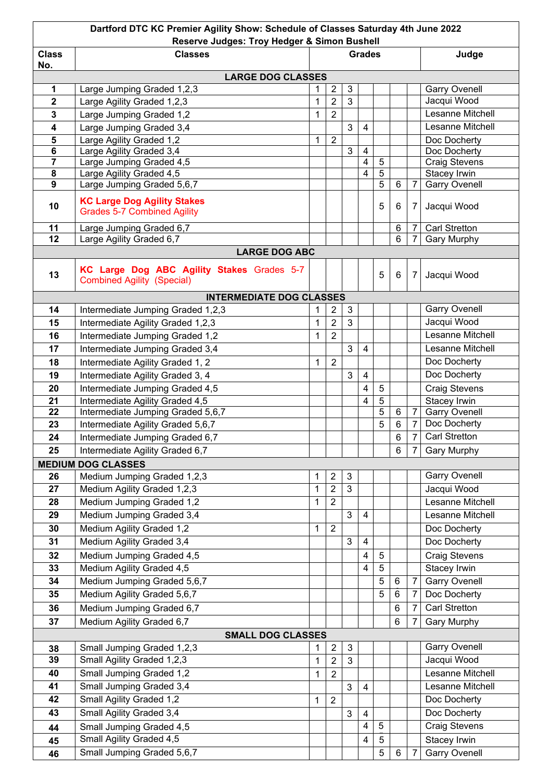| Dartford DTC KC Premier Agility Show: Schedule of Classes Saturday 4th June 2022<br>Reserve Judges: Troy Hedger & Simon Bushell |                                                                                 |               |                |                           |                          |                |                |                |                      |  |
|---------------------------------------------------------------------------------------------------------------------------------|---------------------------------------------------------------------------------|---------------|----------------|---------------------------|--------------------------|----------------|----------------|----------------|----------------------|--|
| <b>Class</b><br>No.                                                                                                             | <b>Classes</b>                                                                  | <b>Grades</b> |                |                           |                          |                |                |                | Judge                |  |
|                                                                                                                                 | <b>LARGE DOG CLASSES</b>                                                        |               |                |                           |                          |                |                |                |                      |  |
| 1                                                                                                                               | Large Jumping Graded 1,2,3                                                      |               | $\overline{2}$ | $\mathbf{3}$              |                          |                |                |                | <b>Garry Ovenell</b> |  |
| $\overline{\mathbf{2}}$                                                                                                         | Large Agility Graded 1,2,3                                                      | 1             | $\overline{2}$ | 3                         |                          |                |                |                | Jacqui Wood          |  |
| 3                                                                                                                               | Large Jumping Graded 1,2                                                        | 1             | $\overline{2}$ |                           |                          |                |                |                | Lesanne Mitchell     |  |
| $\overline{\mathbf{4}}$                                                                                                         | Large Jumping Graded 3,4                                                        |               |                | 3                         | $\overline{4}$           |                |                |                | Lesanne Mitchell     |  |
| 5                                                                                                                               | Large Agility Graded 1,2                                                        | 1             | $\overline{2}$ |                           |                          |                |                |                | Doc Docherty         |  |
| $\bf 6$                                                                                                                         | Large Agility Graded 3,4                                                        |               |                | 3                         | $\overline{4}$           |                |                |                | Doc Docherty         |  |
| $\overline{7}$                                                                                                                  | Large Jumping Graded 4,5                                                        |               |                |                           | $\overline{4}$           | $\overline{5}$ |                |                | <b>Craig Stevens</b> |  |
| $\pmb{8}$                                                                                                                       | Large Agility Graded 4,5                                                        |               |                |                           | $\overline{\mathbf{4}}$  | $\overline{5}$ |                |                | Stacey Irwin         |  |
| $\overline{9}$                                                                                                                  | Large Jumping Graded 5,6,7                                                      |               |                |                           |                          | 5              | 6              |                | <b>Garry Ovenell</b> |  |
| 10                                                                                                                              | <b>KC Large Dog Agility Stakes</b><br><b>Grades 5-7 Combined Agility</b>        |               |                |                           |                          | 5              | 6              | 7              | Jacqui Wood          |  |
| 11                                                                                                                              | Large Jumping Graded 6,7                                                        |               |                |                           |                          |                | 6              |                | <b>Carl Stretton</b> |  |
| 12                                                                                                                              | Large Agility Graded 6,7                                                        |               |                |                           |                          |                | 6              | $\overline{7}$ | <b>Gary Murphy</b>   |  |
|                                                                                                                                 | <b>LARGE DOG ABC</b>                                                            |               |                |                           |                          |                |                |                |                      |  |
| 13                                                                                                                              | KC Large Dog ABC Agility Stakes Grades 5-7<br><b>Combined Agility (Special)</b> |               |                |                           |                          | 5              | $\,6\,$        | 7              | Jacqui Wood          |  |
|                                                                                                                                 | <b>INTERMEDIATE DOG CLASSES</b>                                                 |               |                |                           |                          |                |                |                |                      |  |
| 14                                                                                                                              | Intermediate Jumping Graded 1,2,3                                               | 1             | $\overline{2}$ | 3                         |                          |                |                |                | <b>Garry Ovenell</b> |  |
| 15                                                                                                                              | Intermediate Agility Graded 1,2,3                                               | 1             | $\overline{2}$ | 3                         |                          |                |                |                | Jacqui Wood          |  |
| 16                                                                                                                              | Intermediate Jumping Graded 1,2                                                 | 1             | $\overline{2}$ |                           |                          |                |                |                | Lesanne Mitchell     |  |
| 17                                                                                                                              | Intermediate Jumping Graded 3,4                                                 |               |                | 3                         | $\overline{4}$           |                |                |                | Lesanne Mitchell     |  |
| 18                                                                                                                              | Intermediate Agility Graded 1, 2                                                | 1             | $\overline{2}$ |                           |                          |                |                |                | Doc Docherty         |  |
| 19                                                                                                                              | Intermediate Agility Graded 3, 4                                                |               |                | 3                         | $\overline{4}$           |                |                |                | Doc Docherty         |  |
| 20                                                                                                                              | Intermediate Jumping Graded 4,5                                                 |               |                |                           | $\overline{\mathbf{4}}$  | $\sqrt{5}$     |                |                | <b>Craig Stevens</b> |  |
| 21                                                                                                                              | Intermediate Agility Graded 4,5                                                 |               |                |                           | $\overline{4}$           | $\sqrt{5}$     |                |                | Stacey Irwin         |  |
| 22                                                                                                                              | Intermediate Jumping Graded 5,6,7                                               |               |                |                           |                          | 5              | 6              |                | <b>Garry Ovenell</b> |  |
| 23                                                                                                                              | Intermediate Agility Graded 5,6,7                                               |               |                |                           |                          | 5              | 6              | 7              | Doc Docherty         |  |
| 24                                                                                                                              | Intermediate Jumping Graded 6,7                                                 |               |                |                           |                          |                | 6              | $\overline{7}$ | Carl Stretton        |  |
| 25                                                                                                                              | Intermediate Agility Graded 6,7                                                 |               |                |                           |                          |                | 6              | 7              | <b>Gary Murphy</b>   |  |
|                                                                                                                                 | <b>MEDIUM DOG CLASSES</b>                                                       |               |                |                           |                          |                |                |                |                      |  |
| 26                                                                                                                              | Medium Jumping Graded 1,2,3                                                     | 1             | $\overline{c}$ | $\mathbf{3}$              |                          |                |                |                | <b>Garry Ovenell</b> |  |
| 27                                                                                                                              | Medium Agility Graded 1,2,3                                                     | 1             | $\overline{2}$ | $\overline{3}$            |                          |                |                |                | Jacqui Wood          |  |
| 28                                                                                                                              | Medium Jumping Graded 1,2                                                       | 1             | $\overline{2}$ |                           |                          |                |                |                | Lesanne Mitchell     |  |
| 29                                                                                                                              | Medium Jumping Graded 3,4                                                       |               |                | 3                         | $\overline{\mathcal{A}}$ |                |                |                | Lesanne Mitchell     |  |
| 30                                                                                                                              | Medium Agility Graded 1,2                                                       | 1             | $\overline{2}$ |                           |                          |                |                |                | Doc Docherty         |  |
| 31                                                                                                                              | Medium Agility Graded 3,4                                                       |               |                | 3                         | $\overline{\mathcal{A}}$ |                |                |                | Doc Docherty         |  |
| 32                                                                                                                              | Medium Jumping Graded 4,5                                                       |               |                |                           | 4                        | $5\,$          |                |                | <b>Craig Stevens</b> |  |
| 33                                                                                                                              | Medium Agility Graded 4,5                                                       |               |                |                           | 4                        | $5\,$          |                |                | Stacey Irwin         |  |
| 34                                                                                                                              | Medium Jumping Graded 5,6,7                                                     |               |                |                           |                          | 5              | 6              | 7              | <b>Garry Ovenell</b> |  |
| 35                                                                                                                              | Medium Agility Graded 5,6,7                                                     |               |                |                           |                          | 5              | $\,6$          | 7              | Doc Docherty         |  |
| 36                                                                                                                              | Medium Jumping Graded 6,7                                                       |               |                |                           |                          |                | 6              | 7              | <b>Carl Stretton</b> |  |
| 37                                                                                                                              | Medium Agility Graded 6,7                                                       |               |                |                           |                          |                | $6\phantom{1}$ | 7              | <b>Gary Murphy</b>   |  |
|                                                                                                                                 | <b>SMALL DOG CLASSES</b>                                                        |               |                |                           |                          |                |                |                |                      |  |
| 38                                                                                                                              | Small Jumping Graded 1,2,3                                                      | 1             | $\overline{2}$ | $\ensuremath{\mathsf{3}}$ |                          |                |                |                | <b>Garry Ovenell</b> |  |
| 39                                                                                                                              | Small Agility Graded 1,2,3                                                      | 1             | $\overline{2}$ | 3                         |                          |                |                |                | Jacqui Wood          |  |
| 40                                                                                                                              | Small Jumping Graded 1,2                                                        | 1             | $\overline{2}$ |                           |                          |                |                |                | Lesanne Mitchell     |  |
| 41                                                                                                                              | Small Jumping Graded 3,4                                                        |               |                | 3                         | $\overline{\mathcal{A}}$ |                |                |                | Lesanne Mitchell     |  |
| 42                                                                                                                              | Small Agility Graded 1,2                                                        | 1             | $\overline{2}$ |                           |                          |                |                |                | Doc Docherty         |  |
| 43                                                                                                                              | Small Agility Graded 3,4                                                        |               |                | 3                         | 4                        |                |                |                | Doc Docherty         |  |
| 44                                                                                                                              | Small Jumping Graded 4,5                                                        |               |                |                           | 4                        | 5              |                |                | <b>Craig Stevens</b> |  |
| 45                                                                                                                              | Small Agility Graded 4,5                                                        |               |                |                           | $\overline{\mathbf{4}}$  | 5              |                |                | Stacey Irwin         |  |
| 46                                                                                                                              | Small Jumping Graded 5,6,7                                                      |               |                |                           |                          | $\overline{5}$ | 6              | 7              | <b>Garry Ovenell</b> |  |
|                                                                                                                                 |                                                                                 |               |                |                           |                          |                |                |                |                      |  |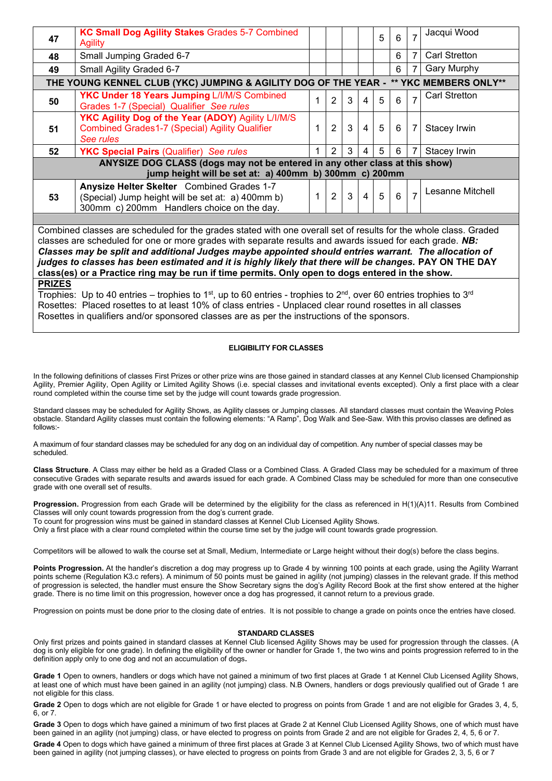| 47                                                                                                                                                                                                                                                                                                                                                                                                                                                                                                                                                 | <b>KC Small Dog Agility Stakes Grades 5-7 Combined</b><br><b>Agility</b>                                                                      |              |                |              |                | 5 | 6              | $\overline{7}$ | Jacqui Wood          |
|----------------------------------------------------------------------------------------------------------------------------------------------------------------------------------------------------------------------------------------------------------------------------------------------------------------------------------------------------------------------------------------------------------------------------------------------------------------------------------------------------------------------------------------------------|-----------------------------------------------------------------------------------------------------------------------------------------------|--------------|----------------|--------------|----------------|---|----------------|----------------|----------------------|
| 48                                                                                                                                                                                                                                                                                                                                                                                                                                                                                                                                                 | Small Jumping Graded 6-7                                                                                                                      |              |                |              |                |   | 6              | $\overline{7}$ | <b>Carl Stretton</b> |
| 49                                                                                                                                                                                                                                                                                                                                                                                                                                                                                                                                                 | Small Agility Graded 6-7                                                                                                                      |              |                |              |                |   | 6              | 7              | <b>Gary Murphy</b>   |
| THE YOUNG KENNEL CLUB (YKC) JUMPING & AGILITY DOG OF THE YEAR - ** YKC MEMBERS ONLY**                                                                                                                                                                                                                                                                                                                                                                                                                                                              |                                                                                                                                               |              |                |              |                |   |                |                |                      |
| 50                                                                                                                                                                                                                                                                                                                                                                                                                                                                                                                                                 | <b>YKC Under 18 Years Jumping L/I/M/S Combined</b><br>Grades 1-7 (Special) Qualifier See rules                                                | 1            | $\overline{2}$ | 3            | $\overline{4}$ | 5 | 6              | $\overline{7}$ | <b>Carl Stretton</b> |
| 51                                                                                                                                                                                                                                                                                                                                                                                                                                                                                                                                                 | YKC Agility Dog of the Year (ADOY) Agility L/I/M/S<br><b>Combined Grades1-7 (Special) Agility Qualifier</b><br>See rules                      | 1            | $\overline{2}$ | 3            | $\overline{4}$ | 5 | 6              | 7              | Stacey Irwin         |
| 52                                                                                                                                                                                                                                                                                                                                                                                                                                                                                                                                                 | <b>YKC Special Pairs (Qualifier)</b> See rules                                                                                                | $\mathbf{1}$ | $\overline{2}$ | 3            | $\overline{4}$ | 5 | 6              | $\overline{7}$ | Stacey Irwin         |
| ANYSIZE DOG CLASS (dogs may not be entered in any other class at this show)<br>jump height will be set at: a) 400mm b) 300mm c) 200mm                                                                                                                                                                                                                                                                                                                                                                                                              |                                                                                                                                               |              |                |              |                |   |                |                |                      |
| 53                                                                                                                                                                                                                                                                                                                                                                                                                                                                                                                                                 | Anysize Helter Skelter Combined Grades 1-7<br>(Special) Jump height will be set at: a) 400mm b)<br>300mm c) 200mm Handlers choice on the day. | 1            | $\overline{2}$ | $\mathbf{3}$ | $\overline{4}$ | 5 | $6\phantom{1}$ |                | Lesanne Mitchell     |
|                                                                                                                                                                                                                                                                                                                                                                                                                                                                                                                                                    |                                                                                                                                               |              |                |              |                |   |                |                |                      |
| Combined classes are scheduled for the grades stated with one overall set of results for the whole class. Graded<br>classes are scheduled for one or more grades with separate results and awards issued for each grade. NB:<br>Classes may be split and additional Judges maybe appointed should entries warrant. The allocation of<br>judges to classes has been estimated and it is highly likely that there will be changes. PAY ON THE DAY<br>class(es) or a Practice ring may be run if time permits. Only open to dogs entered in the show. |                                                                                                                                               |              |                |              |                |   |                |                |                      |
| <b>PRIZES</b><br>Trophies: Up to 40 entries – trophies to 1 <sup>st</sup> , up to 60 entries - trophies to 2 <sup>nd</sup> , over 60 entries trophies to 3 <sup>rd</sup><br>Rosettes: Placed rosettes to at least 10% of class entries - Unplaced clear round rosettes in all classes<br>Rosettes in qualifiers and/or sponsored classes are as per the instructions of the sponsors.                                                                                                                                                              |                                                                                                                                               |              |                |              |                |   |                |                |                      |

# **ELIGIBILITY FOR CLASSES**

In the following definitions of classes First Prizes or other prize wins are those gained in standard classes at any Kennel Club licensed Championship Agility, Premier Agility, Open Agility or Limited Agility Shows (i.e. special classes and invitational events excepted). Only a first place with a clear round completed within the course time set by the judge will count towards grade progression.

Standard classes may be scheduled for Agility Shows, as Agility classes or Jumping classes. All standard classes must contain the Weaving Poles obstacle. Standard Agility classes must contain the following elements: "A Ramp", Dog Walk and See-Saw. With this proviso classes are defined as follows:-

A maximum of four standard classes may be scheduled for any dog on an individual day of competition. Any number of special classes may be scheduled.

**Class Structure**. A Class may either be held as a Graded Class or a Combined Class. A Graded Class may be scheduled for a maximum of three consecutive Grades with separate results and awards issued for each grade. A Combined Class may be scheduled for more than one consecutive grade with one overall set of results.

Progression. Progression from each Grade will be determined by the eligibility for the class as referenced in H(1)(A)11. Results from Combined Classes will only count towards progression from the dog's current grade.

To count for progression wins must be gained in standard classes at Kennel Club Licensed Agility Shows.

Only a first place with a clear round completed within the course time set by the judge will count towards grade progression.

Competitors will be allowed to walk the course set at Small, Medium, Intermediate or Large height without their dog(s) before the class begins.

**Points Progression.** At the handler's discretion a dog may progress up to Grade 4 by winning 100 points at each grade, using the Agility Warrant points scheme (Regulation K3.c refers). A minimum of 50 points must be gained in agility (not jumping) classes in the relevant grade. If this method of progression is selected, the handler must ensure the Show Secretary signs the dog's Agility Record Book at the first show entered at the higher grade. There is no time limit on this progression, however once a dog has progressed, it cannot return to a previous grade.

Progression on points must be done prior to the closing date of entries. It is not possible to change a grade on points once the entries have closed.

#### **STANDARD CLASSES**

Only first prizes and points gained in standard classes at Kennel Club licensed Agility Shows may be used for progression through the classes. (A dog is only eligible for one grade). In defining the eligibility of the owner or handler for Grade 1, the two wins and points progression referred to in the definition apply only to one dog and not an accumulation of dogs**.** 

**Grade 1** Open to owners, handlers or dogs which have not gained a minimum of two first places at Grade 1 at Kennel Club Licensed Agility Shows, at least one of which must have been gained in an agility (not jumping) class. N.B Owners, handlers or dogs previously qualified out of Grade 1 are not eligible for this class.

Grade 2 Open to dogs which are not eligible for Grade 1 or have elected to progress on points from Grade 1 and are not eligible for Grades 3, 4, 5, 6, or 7.

**Grade 3** Open to dogs which have gained a minimum of two first places at Grade 2 at Kennel Club Licensed Agility Shows, one of which must have been gained in an agility (not jumping) class, or have elected to progress on points from Grade 2 and are not eligible for Grades 2, 4, 5, 6 or 7.

**Grade 4** Open to dogs which have gained a minimum of three first places at Grade 3 at Kennel Club Licensed Agility Shows, two of which must have been gained in agility (not jumping classes), or have elected to progress on points from Grade 3 and are not eligible for Grades 2, 3, 5, 6 or 7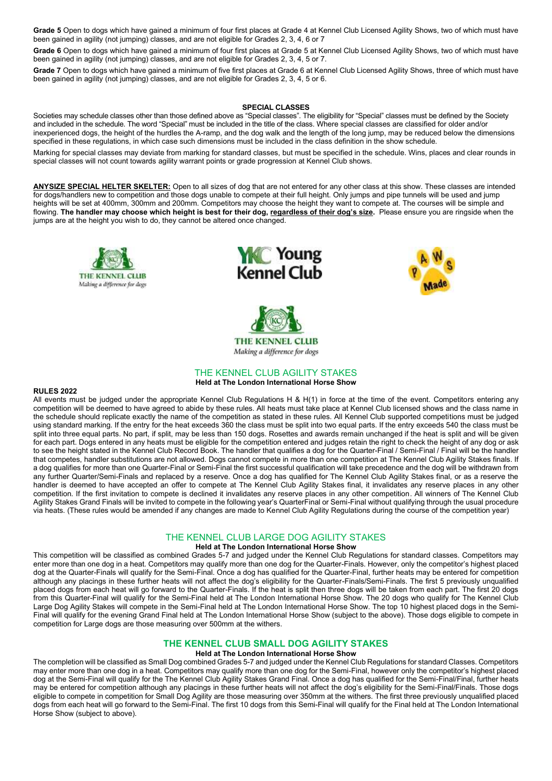Grade 5 Open to dogs which have gained a minimum of four first places at Grade 4 at Kennel Club Licensed Agility Shows, two of which must have been gained in agility (not jumping) classes, and are not eligible for Grades 2, 3, 4, 6 or 7

**Grade 6** Open to dogs which have gained a minimum of four first places at Grade 5 at Kennel Club Licensed Agility Shows, two of which must have been gained in agility (not jumping) classes, and are not eligible for Grades 2, 3, 4, 5 or 7.

**Grade 7** Open to dogs which have gained a minimum of five first places at Grade 6 at Kennel Club Licensed Agility Shows, three of which must have been gained in agility (not jumping) classes, and are not eligible for Grades 2, 3, 4, 5 or 6.

#### **SPECIAL CLASSES**

Societies may schedule classes other than those defined above as "Special classes". The eligibility for "Special" classes must be defined by the Society and included in the schedule. The word "Special" must be included in the title of the class. Where special classes are classified for older and/or inexperienced dogs, the height of the hurdles the A-ramp, and the dog walk and the length of the long jump, may be reduced below the dimensions specified in these regulations, in which case such dimensions must be included in the class definition in the show schedule.

Marking for special classes may deviate from marking for standard classes, but must be specified in the schedule. Wins, places and clear rounds in special classes will not count towards agility warrant points or grade progression at Kennel Club shows.

**ANYSIZE SPECIAL HELTER SKELTER:** Open to all sizes of dog that are not entered for any other class at this show. These classes are intended for dogs/handlers new to competition and those dogs unable to compete at their full height. Only jumps and pipe tunnels will be used and jump heights will be set at 400mm, 300mm and 200mm. Competitors may choose the height they want to compete at. The courses will be simple and flowing. **The handler may choose which height is best for their dog, regardless of their dog's size.** Please ensure you are ringside when the jumps are at the height you wish to do, they cannot be altered once changed.









# THE KENNEL CLUB AGILITY STAKES

#### **Held at The London International Horse Show**

#### **RULES 2022**

All events must be judged under the appropriate Kennel Club Regulations H & H(1) in force at the time of the event. Competitors entering any competition will be deemed to have agreed to abide by these rules. All heats must take place at Kennel Club licensed shows and the class name in the schedule should replicate exactly the name of the competition as stated in these rules. All Kennel Club supported competitions must be judged using standard marking. If the entry for the heat exceeds 360 the class must be split into two equal parts. If the entry exceeds 540 the class must be split into three equal parts. No part, if split, may be less than 150 dogs. Rosettes and awards remain unchanged if the heat is split and will be given for each part. Dogs entered in any heats must be eligible for the competition entered and judges retain the right to check the height of any dog or ask to see the height stated in the Kennel Club Record Book. The handler that qualifies a dog for the Quarter-Final / Semi-Final / Final will be the handler that competes, handler substitutions are not allowed. Dogs cannot compete in more than one competition at The Kennel Club Agility Stakes finals. If a dog qualifies for more than one Quarter-Final or Semi-Final the first successful qualification will take precedence and the dog will be withdrawn from any further Quarter/Semi-Finals and replaced by a reserve. Once a dog has qualified for The Kennel Club Agility Stakes final, or as a reserve the handler is deemed to have accepted an offer to compete at The Kennel Club Agility Stakes final, it invalidates any reserve places in any other competition. If the first invitation to compete is declined it invalidates any reserve places in any other competition. All winners of The Kennel Club Agility Stakes Grand Finals will be invited to compete in the following year's QuarterFinal or Semi-Final without qualifying through the usual procedure via heats. (These rules would be amended if any changes are made to Kennel Club Agility Regulations during the course of the competition year)

#### THE KENNEL CLUB LARGE DOG AGILITY STAKES

# **Held at The London International Horse Show**

This competition will be classified as combined Grades 5-7 and judged under the Kennel Club Regulations for standard classes. Competitors may enter more than one dog in a heat. Competitors may qualify more than one dog for the Quarter-Finals. However, only the competitor's highest placed dog at the Quarter-Finals will qualify for the Semi-Final. Once a dog has qualified for the Quarter-Final, further heats may be entered for competition although any placings in these further heats will not affect the dog's eligibility for the Quarter-Finals/Semi-Finals. The first 5 previously unqualified placed dogs from each heat will go forward to the Quarter-Finals. If the heat is split then three dogs will be taken from each part. The first 20 dogs from this Quarter-Final will qualify for the Semi-Final held at The London International Horse Show. The 20 dogs who qualify for The Kennel Club Large Dog Agility Stakes will compete in the Semi-Final held at The London International Horse Show. The top 10 highest placed dogs in the Semi-Final will qualify for the evening Grand Final held at The London International Horse Show (subject to the above). Those dogs eligible to compete in competition for Large dogs are those measuring over 500mm at the withers.

# **THE KENNEL CLUB SMALL DOG AGILITY STAKES**

# **Held at The London International Horse Show**

The completion will be classified as Small Dog combined Grades 5-7 and judged under the Kennel Club Regulations for standard Classes. Competitors may enter more than one dog in a heat. Competitors may qualify more than one dog for the Semi-Final, however only the competitor's highest placed dog at the Semi-Final will qualify for the The Kennel Club Agility Stakes Grand Final. Once a dog has qualified for the Semi-Final/Final, further heats may be entered for competition although any placings in these further heats will not affect the dog's eligibility for the Semi-Final/Finals. Those dogs eligible to compete in competition for Small Dog Agility are those measuring over 350mm at the withers. The first three previously unqualified placed dogs from each heat will go forward to the Semi-Final. The first 10 dogs from this Semi-Final will qualify for the Final held at The London International Horse Show (subject to above).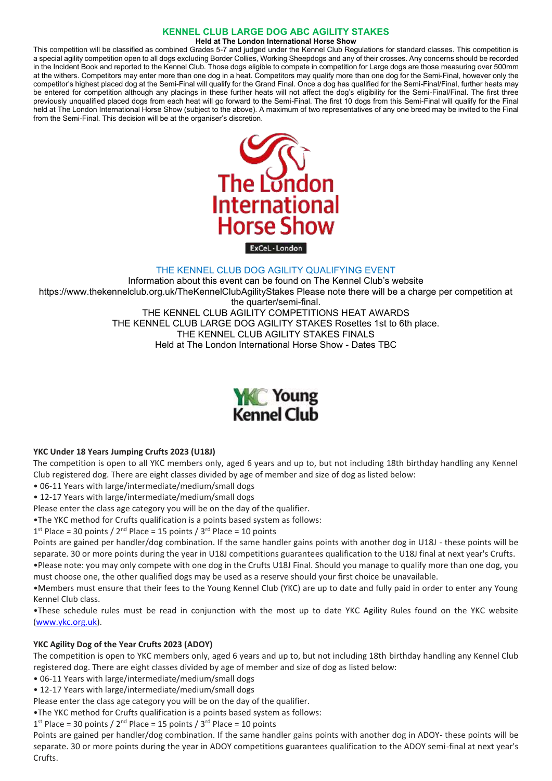# **KENNEL CLUB LARGE DOG ABC AGILITY STAKES**

**Held at The London International Horse Show**

This competition will be classified as combined Grades 5-7 and judged under the Kennel Club Regulations for standard classes. This competition is a special agility competition open to all dogs excluding Border Collies, Working Sheepdogs and any of their crosses. Any concerns should be recorded in the Incident Book and reported to the Kennel Club. Those dogs eligible to compete in competition for Large dogs are those measuring over 500mm at the withers. Competitors may enter more than one dog in a heat. Competitors may qualify more than one dog for the Semi-Final, however only the competitor's highest placed dog at the Semi-Final will qualify for the Grand Final. Once a dog has qualified for the Semi-Final/Final, further heats may be entered for competition although any placings in these further heats will not affect the dog's eligibility for the Semi-Final/Final. The first three previously unqualified placed dogs from each heat will go forward to the Semi-Final. The first 10 dogs from this Semi-Final will qualify for the Final held at The London International Horse Show (subject to the above). A maximum of two representatives of any one breed may be invited to the Final from the Semi-Final. This decision will be at the organiser's discretion.



# THE KENNEL CLUB DOG AGILITY QUALIFYING EVENT

Information about this event can be found on The Kennel Club's website https://www.thekennelclub.org.uk/TheKennelClubAgilityStakes Please note there will be a charge per competition at the quarter/semi-final. THE KENNEL CLUB AGILITY COMPETITIONS HEAT AWARDS THE KENNEL CLUB LARGE DOG AGILITY STAKES Rosettes 1st to 6th place. THE KENNEL CLUB AGILITY STAKES FINALS Held at The London International Horse Show - Dates TBC



# **YKC Under 18 Years Jumping Crufts 2023 (U18J)**

The competition is open to all YKC members only, aged 6 years and up to, but not including 18th birthday handling any Kennel Club registered dog. There are eight classes divided by age of member and size of dog as listed below:

- 06-11 Years with large/intermediate/medium/small dogs
- 12-17 Years with large/intermediate/medium/small dogs

Please enter the class age category you will be on the day of the qualifier.

•The YKC method for Crufts qualification is a points based system as follows:

 $1<sup>st</sup>$  Place = 30 points /  $2<sup>nd</sup>$  Place = 15 points /  $3<sup>rd</sup>$  Place = 10 points

Points are gained per handler/dog combination. If the same handler gains points with another dog in U18J - these points will be separate. 30 or more points during the year in U18J competitions guarantees qualification to the U18J final at next year's Crufts. •Please note: you may only compete with one dog in the Crufts U18J Final. Should you manage to qualify more than one dog, you must choose one, the other qualified dogs may be used as a reserve should your first choice be unavailable.

•Members must ensure that their fees to the Young Kennel Club (YKC) are up to date and fully paid in order to enter any Young Kennel Club class.

•These schedule rules must be read in conjunction with the most up to date YKC Agility Rules found on the YKC website [\(www.ykc.org.uk\)](http://www.ykc.org.uk/).

# **YKC Agility Dog of the Year Crufts 2023 (ADOY)**

The competition is open to YKC members only, aged 6 years and up to, but not including 18th birthday handling any Kennel Club registered dog. There are eight classes divided by age of member and size of dog as listed below:

• 06-11 Years with large/intermediate/medium/small dogs

• 12-17 Years with large/intermediate/medium/small dogs

Please enter the class age category you will be on the day of the qualifier.

•The YKC method for Crufts qualification is a points based system as follows:

 $1<sup>st</sup>$  Place = 30 points /  $2<sup>nd</sup>$  Place = 15 points /  $3<sup>rd</sup>$  Place = 10 points

Points are gained per handler/dog combination. If the same handler gains points with another dog in ADOY- these points will be separate. 30 or more points during the year in ADOY competitions guarantees qualification to the ADOY semi-final at next year's Crufts.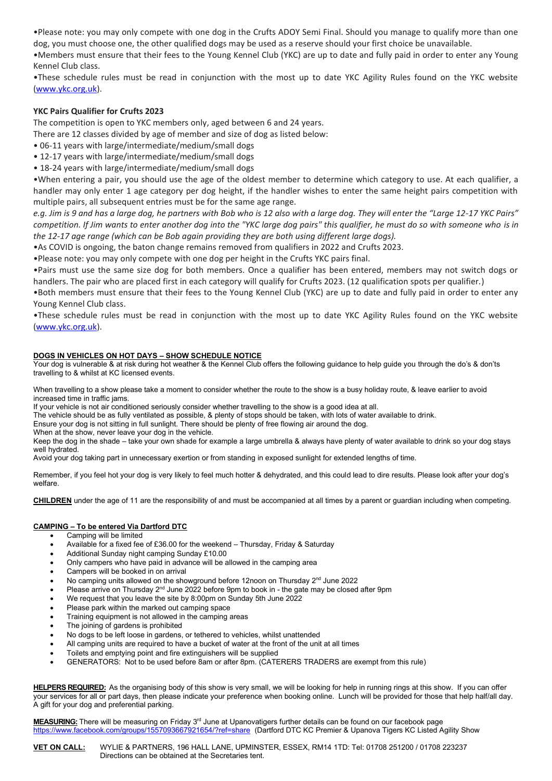•Please note: you may only compete with one dog in the Crufts ADOY Semi Final. Should you manage to qualify more than one dog, you must choose one, the other qualified dogs may be used as a reserve should your first choice be unavailable.

•Members must ensure that their fees to the Young Kennel Club (YKC) are up to date and fully paid in order to enter any Young Kennel Club class.

•These schedule rules must be read in conjunction with the most up to date YKC Agility Rules found on the YKC website [\(www.ykc.org.uk\)](http://www.ykc.org.uk/).

# **YKC Pairs Qualifier for Crufts 2023**

The competition is open to YKC members only, aged between 6 and 24 years.

There are 12 classes divided by age of member and size of dog as listed below:

- 06-11 years with large/intermediate/medium/small dogs
- 12-17 years with large/intermediate/medium/small dogs
- 18-24 years with large/intermediate/medium/small dogs

•When entering a pair, you should use the age of the oldest member to determine which category to use. At each qualifier, a handler may only enter 1 age category per dog height, if the handler wishes to enter the same height pairs competition with multiple pairs, all subsequent entries must be for the same age range.

*e.g. Jim is 9 and has a large dog, he partners with Bob who is 12 also with a large dog. They will enter the "Large 12-17 YKC Pairs" competition. If Jim wants to enter another dog into the "YKC large dog pairs" this qualifier, he must do so with someone who is in the 12-17 age range (which can be Bob again providing they are both using different large dogs).*

•As COVID is ongoing, the baton change remains removed from qualifiers in 2022 and Crufts 2023.

•Please note: you may only compete with one dog per height in the Crufts YKC pairs final.

•Pairs must use the same size dog for both members. Once a qualifier has been entered, members may not switch dogs or handlers. The pair who are placed first in each category will qualify for Crufts 2023. (12 qualification spots per qualifier.)

•Both members must ensure that their fees to the Young Kennel Club (YKC) are up to date and fully paid in order to enter any Young Kennel Club class.

•These schedule rules must be read in conjunction with the most up to date YKC Agility Rules found on the YKC website [\(www.ykc.org.uk\)](http://www.ykc.org.uk/).

# **DOGS IN VEHICLES ON HOT DAYS – SHOW SCHEDULE NOTICE**

Your dog is vulnerable & at risk during hot weather & the Kennel Club offers the following guidance to help guide you through the do's & don'ts travelling to & whilst at KC licensed events.

When travelling to a show please take a moment to consider whether the route to the show is a busy holiday route, & leave earlier to avoid increased time in traffic jams.

If your vehicle is not air conditioned seriously consider whether travelling to the show is a good idea at all.

The vehicle should be as fully ventilated as possible, & plenty of stops should be taken, with lots of water available to drink.

Ensure your dog is not sitting in full sunlight. There should be plenty of free flowing air around the dog.

When at the show, never leave your dog in the vehicle.

Keep the dog in the shade – take your own shade for example a large umbrella & always have plenty of water available to drink so your dog stays well hydrated.

Avoid your dog taking part in unnecessary exertion or from standing in exposed sunlight for extended lengths of time.

Remember, if you feel hot your dog is very likely to feel much hotter & dehydrated, and this could lead to dire results. Please look after your dog's welfare.

**CHILDREN** under the age of 11 are the responsibility of and must be accompanied at all times by a parent or guardian including when competing.

# **CAMPING – To be entered Via Dartford DTC**

- Camping will be limited
- Available for a fixed fee of £36.00 for the weekend Thursday, Friday & Saturday
- Additional Sunday night camping Sunday £10.00
- Only campers who have paid in advance will be allowed in the camping area
- Campers will be booked in on arrival
- No camping units allowed on the showground before 12noon on Thursday  $2<sup>nd</sup>$  June 2022
- Please arrive on Thursday  $2<sup>nd</sup>$  June 2022 before 9pm to book in the gate may be closed after 9pm
- We request that you leave the site by 8:00pm on Sunday 5th June 2022
- Please park within the marked out camping space
- Training equipment is not allowed in the camping areas
- The joining of gardens is prohibited
- No dogs to be left loose in gardens, or tethered to vehicles, whilst unattended
- All camping units are required to have a bucket of water at the front of the unit at all times
- Toilets and emptying point and fire extinguishers will be supplied
- GENERATORS: Not to be used before 8am or after 8pm. (CATERERS TRADERS are exempt from this rule)

**HELPERS REQUIRED:** As the organising body of this show is very small, we will be looking for help in running rings at this show. If you can offer your services for all or part days, then please indicate your preference when booking online. Lunch will be provided for those that help half/all day. A gift for your dog and preferential parking.

**MEASURING:** There will be measuring on Friday 3rd June at Upanovatigers further details can be found on our facebook page <https://www.facebook.com/groups/1557093667921654/?ref=share>(Dartford DTC KC Premier & Upanova Tigers KC Listed Agility Show

**VET ON CALL:** WYLIE & PARTNERS, 196 HALL LANE, UPMINSTER, ESSEX, RM14 1TD: Tel: 01708 251200 / 01708 223237 Directions can be obtained at the Secretaries tent.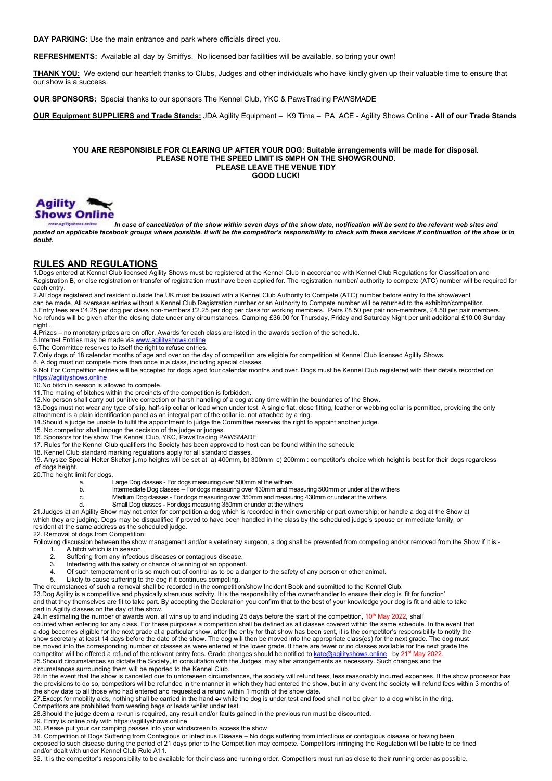**DAY PARKING:** Use the main entrance and park where officials direct you.

**REFRESHMENTS:** Available all day by Smiffys. No licensed bar facilities will be available, so bring your own!

**THANK YOU:** We extend our heartfelt thanks to Clubs, Judges and other individuals who have kindly given up their valuable time to ensure that our show is a success.

**OUR SPONSORS:** Special thanks to our sponsors The Kennel Club, YKC & PawsTrading PAWSMADE

**OUR Equipment SUPPLIERS and Trade Stands:** JDA Agility Equipment – K9 Time – PA ACE - Agility Shows Online - **All of our Trade Stands**

#### **YOU ARE RESPONSIBLE FOR CLEARING UP AFTER YOUR DOG: Suitable arrangements will be made for disposal. PLEASE NOTE THE SPEED LIMIT IS 5MPH ON THE SHOWGROUND. PLEASE LEAVE THE VENUE TIDY GOOD LUCK!**



*In case of cancellation of the show within seven days of the show date, notification will be sent to the relevant web sites and posted on applicable facebook groups where possible. It will be the competitor's responsibility to check with these services if continuation of the show is in doubt.*

# **RULES AND REGULATIONS**

1.Dogs entered at Kennel Club licensed Agility Shows must be registered at the Kennel Club in accordance with Kennel Club Regulations for Classification and Registration B, or else registration or transfer of registration must have been applied for. The registration number/ authority to compete (ATC) number will be required for each entry.

2.All dogs registered and resident outside the UK must be issued with a Kennel Club Authority to Compete (ATC) number before entry to the show/event can be made. All overseas entries without a Kennel Club Registration number or an Authority to Compete number will be returned to the exhibitor/competitor.

3.Entry fees are £4.25 per dog per class non-members £2.25 per dog per class for working members. Pairs £8.50 per pair non-members, £4.50 per pair members. No refunds will be given after the closing date under any circumstances. Camping £36.00 for Thursday, Friday and Saturday Night per unit additional £10.00 Sunday night .

4.Prizes – no monetary prizes are on offer. Awards for each class are listed in the awards section of the schedule.

5.Internet Entries may be made vi[a www.agilityshows.online](http://www.agilityshows.online/) 6.The Committee reserves to itself the right to refuse entries.

7.Only dogs of 18 calendar months of age and over on the day of competition are eligible for competition at Kennel Club licensed Agility Shows.

8. A dog must not compete more than once in a class, including special classes.

9.Not For Competition entries will be accepted for dogs aged four calendar months and over. Dogs must be Kennel Club registered with their details recorded on [https://agilityshows.online](https://agilityshows.online/)

10.No bitch in season is allowed to compete.

11.The mating of bitches within the precincts of the competition is forbidden.

12.No person shall carry out punitive correction or harsh handling of a dog at any time within the boundaries of the Show.

13.Dogs must not wear any type of slip, half-slip collar or lead when under test. A single flat, close fitting, leather or webbing collar is permitted, providing the only attachment is a plain identification panel as an integral part of the collar ie. not attached by a ring.

14.Should a judge be unable to fulfil the appointment to judge the Committee reserves the right to appoint another judge.

15. No competitor shall impugn the decision of the judge or judges.

16. Sponsors for the show The Kennel Club, YKC, PawsTrading PAWSMADE

17. Rules for the Kennel Club qualifiers the Society has been approved to host can be found within the schedule

18. Kennel Club standard marking regulations apply for all standard classes. 19. Anysize Special Helter Skelter jump heights will be set at a) 400mm, b) 300mm c) 200mm : competitor's choice which height is best for their dogs regardless

of dogs height.

20.The height limit for dogs.

a. Large Dog classes - For dogs measuring over 500mm at the withers

- b. Intermediate Dog classes For dogs measuring over 430mm and measuring 500mm or under at the withers
- c. Medium Dog classes For dogs measuring over 350mm and measuring 430mm or under at the withers
- d. Small Dog classes For dogs measuring 350mm or under at the withers

21.Judges at an Agility Show may not enter for competition a dog which is recorded in their ownership or part ownership; or handle a dog at the Show at which they are judging. Dogs may be disqualified if proved to have been handled in the class by the scheduled judge's spouse or immediate family, or resident at the same address as the scheduled judge.

22. Removal of dogs from Competition:

Following discussion between the show management and/or a veterinary surgeon, a dog shall be prevented from competing and/or removed from the Show if it is:-1. A bitch which is in season.<br>2. Suffering from any infection

- 
- 2. Suffering from any infectious diseases or contagious disease. Interfering with the safety or chance of winning of an opponent.
- 4. Of such temperament or is so much out of control as to be a danger to the safety of any person or other animal.
- 5. Likely to cause suffering to the dog if it continues competing.
- The circumstances of such a removal shall be recorded in the competition/show Incident Book and submitted to the Kennel Club.

23.Dog Agility is a competitive and physically strenuous activity. It is the responsibility of the owner/handler to ensure their dog is 'fit for function' and that they themselves are fit to take part. By accepting the Declaration you confirm that to the best of your knowledge your dog is fit and able to take part in Agility classes on the day of the show.

24.In estimating the number of awards won, all wins up to and including 25 days before the start of the competition, 10th May 2022*,* shall

counted when entering for any class. For these purposes a competition shall be defined as all classes covered within the same schedule. In the event that a dog becomes eligible for the next grade at a particular show, after the entry for that show has been sent, it is the competitor's responsibility to notify the show secretary at least 14 days before the date of the show. The dog will then be moved into the appropriate class(es) for the next grade. The dog must be moved into the corresponding number of classes as were entered at the lower grade. If there are fewer or no classes available for the next grade the competitor will be offered a refund of the relevant entry fees. Grade changes should be notified to [kate@agilityshows.online](mailto:kate@agilityshows.online) by 21<sup>st</sup> May 2022. 25.Should circumstances so dictate the Society, in consultation with the Judges, may alter arrangements as necessary. Such changes and the circumstances surrounding them will be reported to the Kennel Club.

26.In the event that the show is cancelled due to unforeseen circumstances, the society will refund fees, less reasonably incurred expenses. If the show processor has the provisions to do so, competitors will be refunded in the manner in which they had entered the show, but in any event the society will refund fees within 3 months of the show date to all those who had entered and requested a refund within 1 month of the show date.

27.Except for mobility aids, nothing shall be carried in the hand or while the dog is under test and food shall not be given to a dog whilst in the ring.

Competitors are prohibited from wearing bags or leads whilst under test.

28.Should the judge deem a re-run is required, any result and/or faults gained in the previous run must be discounted.

29. Entry is online only with https://agilityshows.online

30. Please put your car camping passes into your windscreen to access the show

31. Competition of Dogs Suffering from Contagious or Infectious Disease – No dogs suffering from infectious or contagious disease or having been exposed to such disease during the period of 21 days prior to the Competition may compete. Competitors infringing the Regulation will be liable to be fined and/or dealt with under Kennel Club Rule A11.

32. It is the competitor's responsibility to be available for their class and running order. Competitors must run as close to their running order as possible.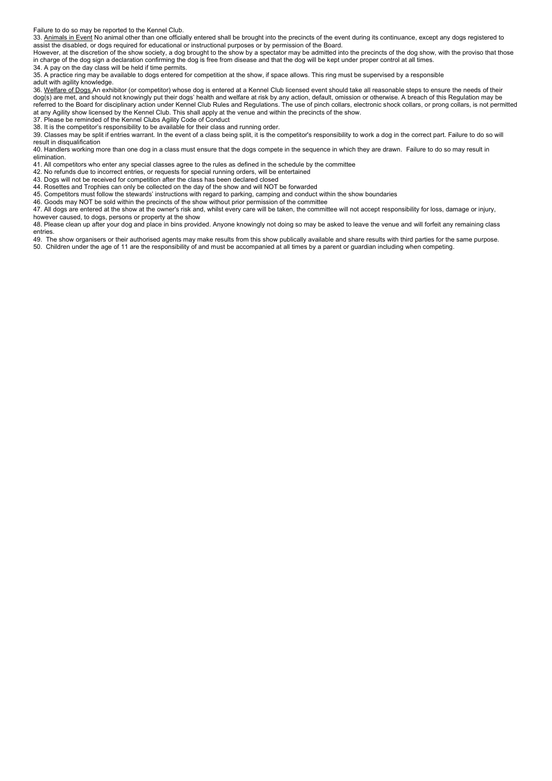Failure to do so may be reported to the Kennel Club.

33. Animals in Event No animal other than one officially entered shall be brought into the precincts of the event during its continuance, except any dogs registered to assist the disabled, or dogs required for educational or instructional purposes or by permission of the Board.

However, at the discretion of the show society, a dog brought to the show by a spectator may be admitted into the precincts of the dog show, with the proviso that those in charge of the dog sign a declaration confirming the dog is free from disease and that the dog will be kept under proper control at all times.

34. A pay on the day class will be held if time permits.

35. A practice ring may be available to dogs entered for competition at the show, if space allows. This ring must be supervised by a responsible adult with agility knowledge.

36. Welfare of Dogs An exhibitor (or competitor) whose dog is entered at a Kennel Club licensed event should take all reasonable steps to ensure the needs of their dog(s) are met, and should not knowingly put their dogs' health and welfare at risk by any action, default, omission or otherwise. A breach of this Regulation may be referred to the Board for disciplinary action under Kennel Club Rules and Regulations. The use of pinch collars, electronic shock collars, or prong collars, is not permitted at any Agility show licensed by the Kennel Club. This shall apply at the venue and within the precincts of the show.

37. Please be reminded of the Kennel Clubs Agility Code of Conduct

38. It is the competitor's responsibility to be available for their class and running order.

39. Classes may be split if entries warrant. In the event of a class being split, it is the competitor's responsibility to work a dog in the correct part. Failure to do so will result in disqualification

40. Handlers working more than one dog in a class must ensure that the dogs compete in the sequence in which they are drawn. Failure to do so may result in elimination.

41. All competitors who enter any special classes agree to the rules as defined in the schedule by the committee

42. No refunds due to incorrect entries, or requests for special running orders, will be entertained

43. Dogs will not be received for competition after the class has been declared closed

44. Rosettes and Trophies can only be collected on the day of the show and will NOT be forwarded

45. Competitors must follow the stewards' instructions with regard to parking, camping and conduct within the show boundaries

46. Goods may NOT be sold within the precincts of the show without prior permission of the committee

47. All dogs are entered at the show at the owner's risk and, whilst every care will be taken, the committee will not accept responsibility for loss, damage or injury, however caused, to dogs, persons or property at the show

48. Please clean up after your dog and place in bins provided. Anyone knowingly not doing so may be asked to leave the venue and will forfeit any remaining class entries.

49. The show organisers or their authorised agents may make results from this show publically available and share results with third parties for the same purpose. 50. Children under the age of 11 are the responsibility of and must be accompanied at all times by a parent or guardian including when competing.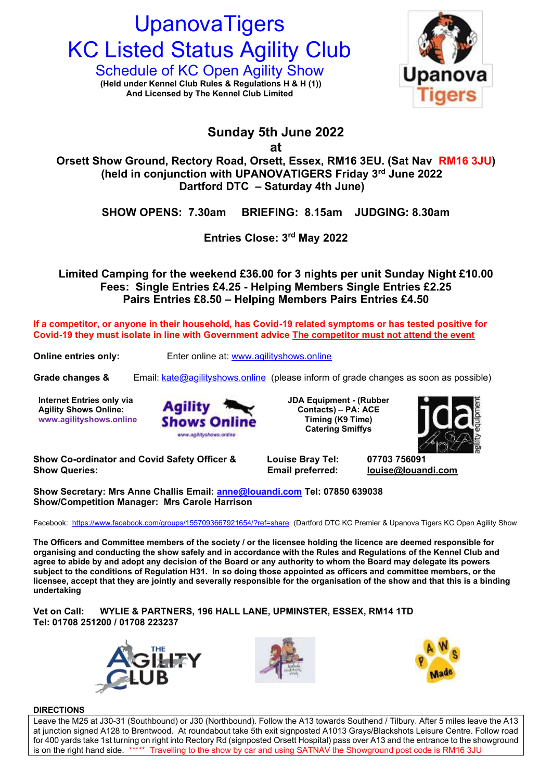# **UpanovaTigers KC Listed Status Agility Club**

Schedule of KC Open Agility Show **Upanova** (Held under Kennel Club Rules & Regulations H & H (1))<br>And Licensed by The Kennel Club Limited **And Licensed by The Kennel Club Limited**



# **Sunday 5th June 2022**

**at**

**Orsett Show Ground, Rectory Road, Orsett, Essex, RM16 3EU. (Sat Nav RM16 3JU) (held in conjunction with UPANOVATIGERS Friday 3<sup>rd</sup> June 2022 Dartford DTC – Saturday 4th June)**

**SHOW OPENS: 7.30am BRIEFING: 8.15am JUDGING: 8.30am**

**Entries Close: 3 rd May 2022**

**Limited Camping for the weekend £36.00 for 3 nights per unit Sunday Night £10.00 Fees: Single Entries £4.25 - Helping Members Single Entries £2.25 Pairs Entries £8.50 – Helping Members Pairs Entries £4.50**

**If a competitor, or anyone in their household, has Covid-19 related symptoms or has tested positive for Covid-19 they must isolate in line with Government advice The competitor must not attend the event**

**Online entries only:** Enter online at: [www.agilityshows.online](http://www.agilityshows.online/)

**Grade changes &** Email: [kate@agilityshows.online](mailto:kate@agilityshows.online) (please inform of grade changes as soon as possible)

**Internet Entries only via Agility Shows Online: www.agilityshows.online**



**JDA Equipment - (Rubber Contacts) – PA: ACE Timing (K9 Time) Catering Smiffys** 



**Show Co-ordinator and Covid Safety Officer & Louise Bray Tel: 07703 756091 Show Queries: Email preferred: [louise@louandi.com](mailto:louise@louandi.com)**

**Show Secretary: Mrs Anne Challis Email: [anne@louandi.com](mailto:anne@louandi.com) Tel: 07850 639038 Show/Competition Manager: Mrs Carole Harrison**

Facebook: <https://www.facebook.com/groups/1557093667921654/?ref=share>(Dartford DTC KC Premier & Upanova Tigers KC Open Agility Show

**The Officers and Committee members of the society / or the licensee holding the licence are deemed responsible for organising and conducting the show safely and in accordance with the Rules and Regulations of the Kennel Club and agree to abide by and adopt any decision of the Board or any authority to whom the Board may delegate its powers subject to the conditions of Regulation H31. In so doing those appointed as officers and committee members, or the licensee, accept that they are jointly and severally responsible for the organisation of the show and that this is a binding undertaking**

**Vet on Call: WYLIE & PARTNERS, 196 HALL LANE, UPMINSTER, ESSEX, RM14 1TD Tel: 01708 251200 / 01708 223237**







# **DIRECTIONS**

Leave the M25 at J30-31 (Southbound) or J30 (Northbound). Follow the A13 towards Southend / Tilbury. After 5 miles leave the A13 at junction signed A128 to Brentwood. At roundabout take 5th exit signposted A1013 Grays/Blackshots Leisure Centre. Follow road for 400 yards take 1st turning on right into Rectory Rd (signposted Orsett Hospital) pass over A13 and the entrance to the showground is on the right hand side. \*\*\*\*\* Travelling to the show by car and using SATNAV the Showground post code is RM16 3JU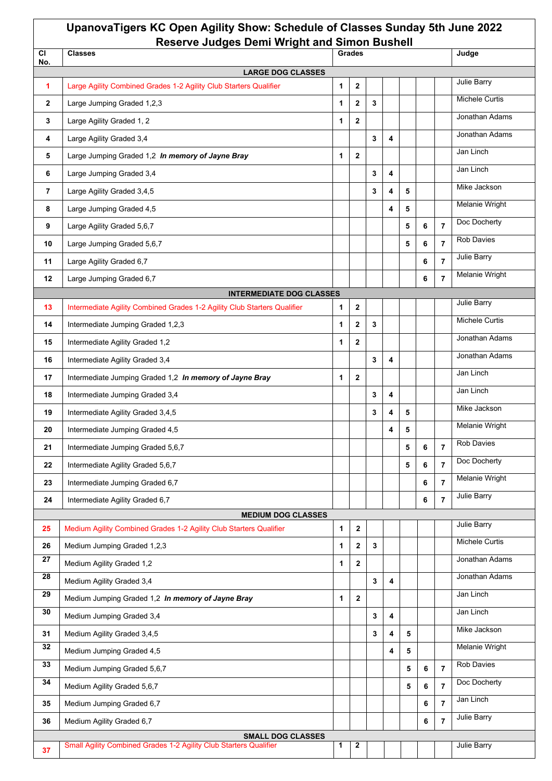| UpanovaTigers KC Open Agility Show: Schedule of Classes Sunday 5th June 2022<br><b>Reserve Judges Demi Wright and Simon Bushell</b> |                                                                          |   |                  |   |   |       |   |                |                       |
|-------------------------------------------------------------------------------------------------------------------------------------|--------------------------------------------------------------------------|---|------------------|---|---|-------|---|----------------|-----------------------|
| <b>CI</b><br>No.                                                                                                                    | <b>Classes</b>                                                           |   | Grades           |   |   | Judge |   |                |                       |
|                                                                                                                                     | <b>LARGE DOG CLASSES</b>                                                 |   |                  |   |   |       |   |                |                       |
| 1                                                                                                                                   | Large Agility Combined Grades 1-2 Agility Club Starters Qualifier        | 1 | $\mathbf{2}$     |   |   |       |   |                | Julie Barry           |
| $\mathbf{2}$                                                                                                                        | Large Jumping Graded 1,2,3                                               | 1 | $\mathbf{2}$     | 3 |   |       |   |                | <b>Michele Curtis</b> |
| 3                                                                                                                                   | Large Agility Graded 1, 2                                                | 1 | $\mathbf{2}$     |   |   |       |   |                | Jonathan Adams        |
| 4                                                                                                                                   | Large Agility Graded 3,4                                                 |   |                  | 3 | 4 |       |   |                | Jonathan Adams        |
| 5                                                                                                                                   | Large Jumping Graded 1,2 In memory of Jayne Bray                         | 1 | $\mathbf{2}$     |   |   |       |   |                | Jan Linch             |
| 6                                                                                                                                   | Large Jumping Graded 3,4                                                 |   |                  | 3 | 4 |       |   |                | Jan Linch             |
| $\overline{7}$                                                                                                                      | Large Agility Graded 3,4,5                                               |   |                  | 3 | 4 | 5     |   |                | Mike Jackson          |
| 8                                                                                                                                   | Large Jumping Graded 4,5                                                 |   |                  |   | 4 | 5     |   |                | <b>Melanie Wright</b> |
| 9                                                                                                                                   | Large Agility Graded 5,6,7                                               |   |                  |   |   | 5     | 6 | $\overline{7}$ | Doc Docherty          |
| 10                                                                                                                                  | Large Jumping Graded 5,6,7                                               |   |                  |   |   | 5     | 6 | $\overline{7}$ | <b>Rob Davies</b>     |
| 11                                                                                                                                  | Large Agility Graded 6,7                                                 |   |                  |   |   |       | 6 | $\overline{7}$ | Julie Barry           |
| 12                                                                                                                                  | Large Jumping Graded 6,7                                                 |   |                  |   |   |       | 6 | $\overline{7}$ | <b>Melanie Wright</b> |
|                                                                                                                                     | <b>INTERMEDIATE DOG CLASSES</b>                                          |   |                  |   |   |       |   |                |                       |
| 13                                                                                                                                  | Intermediate Agility Combined Grades 1-2 Agility Club Starters Qualifier | 1 | $\mathbf{2}$     |   |   |       |   |                | <b>Julie Barry</b>    |
| 14                                                                                                                                  | Intermediate Jumping Graded 1,2,3                                        | 1 | $\mathbf{2}$     | 3 |   |       |   |                | Michele Curtis        |
| 15                                                                                                                                  | Intermediate Agility Graded 1,2                                          | 1 | $\mathbf{2}$     |   |   |       |   |                | Jonathan Adams        |
| 16                                                                                                                                  | Intermediate Agility Graded 3,4                                          |   |                  | 3 | 4 |       |   |                | Jonathan Adams        |
| 17                                                                                                                                  | Intermediate Jumping Graded 1,2 In memory of Jayne Bray                  | 1 | $\mathbf{2}$     |   |   |       |   |                | Jan Linch             |
| 18                                                                                                                                  | Intermediate Jumping Graded 3,4                                          |   |                  | 3 | 4 |       |   |                | Jan Linch             |
| 19                                                                                                                                  | Intermediate Agility Graded 3,4,5                                        |   |                  | 3 | 4 | 5     |   |                | Mike Jackson          |
| 20                                                                                                                                  | Intermediate Jumping Graded 4,5                                          |   |                  |   | 4 | 5     |   |                | Melanie Wright        |
| 21                                                                                                                                  | Intermediate Jumping Graded 5,6,7                                        |   |                  |   |   | 5     | 6 | $\overline{7}$ | Rob Davies            |
| 22                                                                                                                                  | Intermediate Agility Graded 5,6,7                                        |   |                  |   |   | 5     | 6 | $\overline{7}$ | Doc Docherty          |
| 23                                                                                                                                  | Intermediate Jumping Graded 6,7                                          |   |                  |   |   |       | 6 | $\overline{7}$ | <b>Melanie Wright</b> |
| 24                                                                                                                                  | Intermediate Agility Graded 6,7                                          |   |                  |   |   |       | 6 | $\overline{7}$ | <b>Julie Barry</b>    |
|                                                                                                                                     | <b>MEDIUM DOG CLASSES</b>                                                |   |                  |   |   |       |   |                |                       |
| 25                                                                                                                                  | Medium Agility Combined Grades 1-2 Agility Club Starters Qualifier       | 1 | $\boldsymbol{2}$ |   |   |       |   |                | Julie Barry           |
| 26                                                                                                                                  | Medium Jumping Graded 1,2,3                                              | 1 | $\mathbf{2}$     | 3 |   |       |   |                | Michele Curtis        |
| 27                                                                                                                                  | Medium Agility Graded 1,2                                                | 1 | $\mathbf{2}$     |   |   |       |   |                | Jonathan Adams        |
| 28                                                                                                                                  | Medium Agility Graded 3,4                                                |   |                  | 3 | 4 |       |   |                | Jonathan Adams        |
| 29                                                                                                                                  | Medium Jumping Graded 1,2 In memory of Jayne Bray                        | 1 | $\mathbf{2}$     |   |   |       |   |                | Jan Linch             |
| 30                                                                                                                                  | Medium Jumping Graded 3,4                                                |   |                  | 3 | 4 |       |   |                | Jan Linch             |
| 31                                                                                                                                  | Medium Agility Graded 3,4,5                                              |   |                  | 3 | 4 | 5     |   |                | Mike Jackson          |
| 32                                                                                                                                  | Medium Jumping Graded 4,5                                                |   |                  |   | 4 | 5     |   |                | Melanie Wright        |
| 33                                                                                                                                  | Medium Jumping Graded 5,6,7                                              |   |                  |   |   | 5     | 6 | $\overline{7}$ | <b>Rob Davies</b>     |
| 34                                                                                                                                  | Medium Agility Graded 5,6,7                                              |   |                  |   |   | 5     | 6 | $\overline{7}$ | Doc Docherty          |
| 35                                                                                                                                  | Medium Jumping Graded 6,7                                                |   |                  |   |   |       | 6 | $\overline{7}$ | Jan Linch             |
| 36                                                                                                                                  | Medium Agility Graded 6,7                                                |   |                  |   |   |       | 6 | $\overline{7}$ | <b>Julie Barry</b>    |
|                                                                                                                                     | <b>SMALL DOG CLASSES</b>                                                 |   |                  |   |   |       |   |                |                       |
| 37                                                                                                                                  | Small Agility Combined Grades 1-2 Agility Club Starters Qualifier        | 1 | 2                |   |   |       |   |                | Julie Barry           |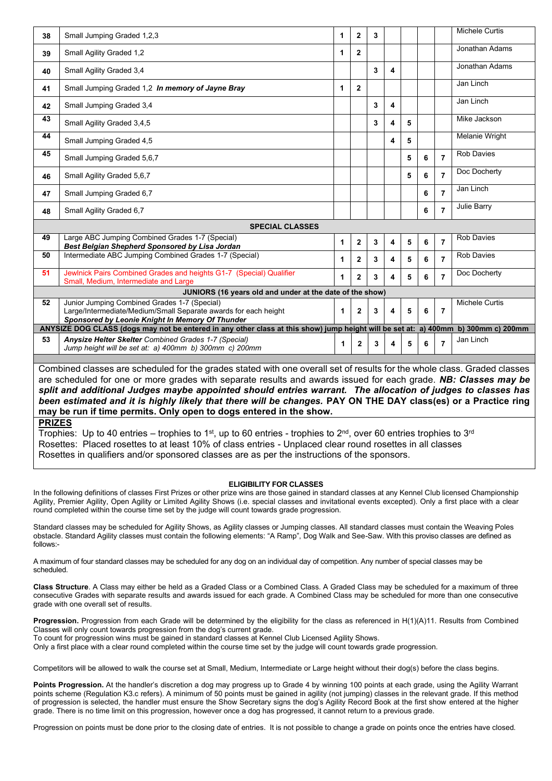| 38                                                                                                                                                                                                                                                                                                                                                                 | Small Jumping Graded 1,2,3                                                                                                                                         | 1 | $\mathbf{2}$   | 3 |   |   |   |                | Michele Curtis    |
|--------------------------------------------------------------------------------------------------------------------------------------------------------------------------------------------------------------------------------------------------------------------------------------------------------------------------------------------------------------------|--------------------------------------------------------------------------------------------------------------------------------------------------------------------|---|----------------|---|---|---|---|----------------|-------------------|
| 39                                                                                                                                                                                                                                                                                                                                                                 | Small Agility Graded 1,2                                                                                                                                           | 1 | $\mathbf{2}$   |   |   |   |   |                | Jonathan Adams    |
| 40                                                                                                                                                                                                                                                                                                                                                                 | Small Agility Graded 3,4                                                                                                                                           |   |                | 3 | 4 |   |   |                | Jonathan Adams    |
| 41                                                                                                                                                                                                                                                                                                                                                                 | Small Jumping Graded 1,2 In memory of Jayne Bray                                                                                                                   | 1 | $\overline{2}$ |   |   |   |   |                | Jan Linch         |
| 42                                                                                                                                                                                                                                                                                                                                                                 | Small Jumping Graded 3,4                                                                                                                                           |   |                | 3 | 4 |   |   |                | Jan Linch         |
| 43                                                                                                                                                                                                                                                                                                                                                                 | Small Agility Graded 3,4,5                                                                                                                                         |   |                | 3 | 4 | 5 |   |                | Mike Jackson      |
| 44                                                                                                                                                                                                                                                                                                                                                                 | Small Jumping Graded 4,5                                                                                                                                           |   |                |   | 4 | 5 |   |                | Melanie Wright    |
| 45                                                                                                                                                                                                                                                                                                                                                                 | Small Jumping Graded 5,6,7                                                                                                                                         |   |                |   |   | 5 | 6 | $\overline{7}$ | <b>Rob Davies</b> |
| 46                                                                                                                                                                                                                                                                                                                                                                 | Small Agility Graded 5,6,7                                                                                                                                         |   |                |   |   | 5 | 6 | $\overline{7}$ | Doc Docherty      |
| 47                                                                                                                                                                                                                                                                                                                                                                 | Small Jumping Graded 6.7                                                                                                                                           |   |                |   |   |   | 6 | $\overline{7}$ | Jan Linch         |
| 48                                                                                                                                                                                                                                                                                                                                                                 | Small Agility Graded 6,7                                                                                                                                           |   |                |   |   |   | 6 | $\overline{7}$ | Julie Barry       |
|                                                                                                                                                                                                                                                                                                                                                                    | <b>SPECIAL CLASSES</b>                                                                                                                                             |   |                |   |   |   |   |                |                   |
| 49                                                                                                                                                                                                                                                                                                                                                                 | Large ABC Jumping Combined Grades 1-7 (Special)<br>Best Belgian Shepherd Sponsored by Lisa Jordan                                                                  | 1 | $\mathbf{2}$   | 3 | 4 | 5 | 6 | $\overline{7}$ | <b>Rob Davies</b> |
| 50                                                                                                                                                                                                                                                                                                                                                                 | Intermediate ABC Jumping Combined Grades 1-7 (Special)                                                                                                             | 1 | $\mathbf{2}$   | 3 | 4 | 5 | 6 | $\overline{7}$ | <b>Rob Davies</b> |
| 51                                                                                                                                                                                                                                                                                                                                                                 | Jewlnick Pairs Combined Grades and heights G1-7 (Special) Qualifier<br>Small, Medium, Intermediate and Large                                                       | 1 | $\overline{2}$ | 3 | 4 | 5 | 6 | $\overline{7}$ | Doc Docherty      |
|                                                                                                                                                                                                                                                                                                                                                                    | JUNIORS (16 years old and under at the date of the show)                                                                                                           |   |                |   |   |   |   |                |                   |
| 52                                                                                                                                                                                                                                                                                                                                                                 | Junior Jumping Combined Grades 1-7 (Special)<br>Large/Intermediate/Medium/Small Separate awards for each height<br>Sponsored by Leonie Knight In Memory Of Thunder | 1 | $\overline{2}$ | 3 | 4 | 5 | 6 | $\overline{7}$ | Michele Curtis    |
| ANYSIZE DOG CLASS (dogs may not be entered in any other class at this show) jump height will be set at: a) 400mm b) 300mm c) 200mm                                                                                                                                                                                                                                 |                                                                                                                                                                    |   |                |   |   |   |   |                |                   |
| 53                                                                                                                                                                                                                                                                                                                                                                 | Anysize Helter Skelter Combined Grades 1-7 (Special)<br>Jump height will be set at: a) 400mm b) 300mm c) 200mm                                                     | 1 | $\mathbf{2}$   | 3 | 4 | 5 | 6 | $\overline{7}$ | Jan Linch         |
|                                                                                                                                                                                                                                                                                                                                                                    |                                                                                                                                                                    |   |                |   |   |   |   |                |                   |
| Combined classes are scheduled for the grades stated with one overall set of results for the whole class. Graded classes<br>are scheduled for one or more grades with separate results and awards issued for each grade. NB: Classes may be<br>onlit and additional, ludges maybe ennointed abould ontrios werrant. The ellecation of judges to eleccee hea $\,$ l |                                                                                                                                                                    |   |                |   |   |   |   |                |                   |

*split and additional Judges maybe appointed should entries warrant. The allocation of judges to classes has been estimated and it is highly likely that there will be changes.* **PAY ON THE DAY class(es) or a Practice ring may be run if time permits. Only open to dogs entered in the show.**

**PRIZES** 

Trophies: Up to 40 entries – trophies to 1<sup>st</sup>, up to 60 entries - trophies to 2<sup>nd</sup>, over 60 entries trophies to 3<sup>rd</sup> Rosettes: Placed rosettes to at least 10% of class entries - Unplaced clear round rosettes in all classes Rosettes in qualifiers and/or sponsored classes are as per the instructions of the sponsors.

# **ELIGIBILITY FOR CLASSES**

In the following definitions of classes First Prizes or other prize wins are those gained in standard classes at any Kennel Club licensed Championship Agility, Premier Agility, Open Agility or Limited Agility Shows (i.e. special classes and invitational events excepted). Only a first place with a clear round completed within the course time set by the judge will count towards grade progression.

Standard classes may be scheduled for Agility Shows, as Agility classes or Jumping classes. All standard classes must contain the Weaving Poles obstacle. Standard Agility classes must contain the following elements: "A Ramp", Dog Walk and See-Saw. With this proviso classes are defined as follows:-

A maximum of four standard classes may be scheduled for any dog on an individual day of competition. Any number of special classes may be scheduled.

**Class Structure**. A Class may either be held as a Graded Class or a Combined Class. A Graded Class may be scheduled for a maximum of three consecutive Grades with separate results and awards issued for each grade. A Combined Class may be scheduled for more than one consecutive grade with one overall set of results.

**Progression.** Progression from each Grade will be determined by the eligibility for the class as referenced in H(1)(A)11. Results from Combined Classes will only count towards progression from the dog's current grade.

To count for progression wins must be gained in standard classes at Kennel Club Licensed Agility Shows.

Only a first place with a clear round completed within the course time set by the judge will count towards grade progression.

Competitors will be allowed to walk the course set at Small, Medium, Intermediate or Large height without their dog(s) before the class begins.

**Points Progression.** At the handler's discretion a dog may progress up to Grade 4 by winning 100 points at each grade, using the Agility Warrant points scheme (Regulation K3.c refers). A minimum of 50 points must be gained in agility (not jumping) classes in the relevant grade. If this method of progression is selected, the handler must ensure the Show Secretary signs the dog's Agility Record Book at the first show entered at the higher grade. There is no time limit on this progression, however once a dog has progressed, it cannot return to a previous grade.

Progression on points must be done prior to the closing date of entries. It is not possible to change a grade on points once the entries have closed.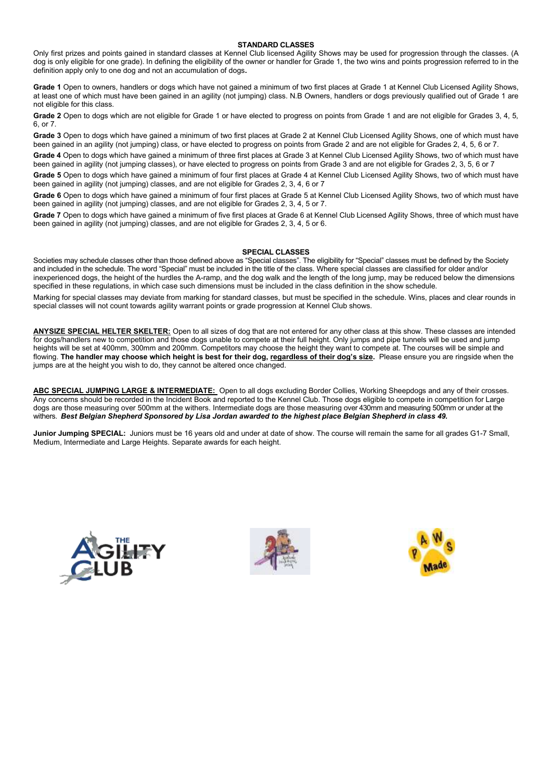#### **STANDARD CLASSES**

Only first prizes and points gained in standard classes at Kennel Club licensed Agility Shows may be used for progression through the classes. (A dog is only eligible for one grade). In defining the eligibility of the owner or handler for Grade 1, the two wins and points progression referred to in the definition apply only to one dog and not an accumulation of dogs**.** 

**Grade 1** Open to owners, handlers or dogs which have not gained a minimum of two first places at Grade 1 at Kennel Club Licensed Agility Shows, at least one of which must have been gained in an agility (not jumping) class. N.B Owners, handlers or dogs previously qualified out of Grade 1 are not eligible for this class.

Grade 2 Open to dogs which are not eligible for Grade 1 or have elected to progress on points from Grade 1 and are not eligible for Grades 3, 4, 5, 6, or 7.

**Grade 3** Open to dogs which have gained a minimum of two first places at Grade 2 at Kennel Club Licensed Agility Shows, one of which must have been gained in an agility (not jumping) class, or have elected to progress on points from Grade 2 and are not eligible for Grades 2, 4, 5, 6 or 7.

**Grade 4** Open to dogs which have gained a minimum of three first places at Grade 3 at Kennel Club Licensed Agility Shows, two of which must have been gained in agility (not jumping classes), or have elected to progress on points from Grade 3 and are not eligible for Grades 2, 3, 5, 6 or 7

**Grade 5** Open to dogs which have gained a minimum of four first places at Grade 4 at Kennel Club Licensed Agility Shows, two of which must have been gained in agility (not jumping) classes, and are not eligible for Grades 2, 3, 4, 6 or 7

**Grade 6** Open to dogs which have gained a minimum of four first places at Grade 5 at Kennel Club Licensed Agility Shows, two of which must have been gained in agility (not jumping) classes, and are not eligible for Grades 2, 3, 4, 5 or 7.

**Grade 7** Open to dogs which have gained a minimum of five first places at Grade 6 at Kennel Club Licensed Agility Shows, three of which must have been gained in agility (not jumping) classes, and are not eligible for Grades 2, 3, 4, 5 or 6.

#### **SPECIAL CLASSES**

Societies may schedule classes other than those defined above as "Special classes". The eligibility for "Special" classes must be defined by the Society and included in the schedule. The word "Special" must be included in the title of the class. Where special classes are classified for older and/or inexperienced dogs, the height of the hurdles the A-ramp, and the dog walk and the length of the long jump, may be reduced below the dimensions specified in these regulations, in which case such dimensions must be included in the class definition in the show schedule.

Marking for special classes may deviate from marking for standard classes, but must be specified in the schedule. Wins, places and clear rounds in special classes will not count towards agility warrant points or grade progression at Kennel Club shows.

**ANYSIZE SPECIAL HELTER SKELTER:** Open to all sizes of dog that are not entered for any other class at this show. These classes are intended for dogs/handlers new to competition and those dogs unable to compete at their full height. Only jumps and pipe tunnels will be used and jump heights will be set at 400mm, 300mm and 200mm. Competitors may choose the height they want to compete at. The courses will be simple and flowing. **The handler may choose which height is best for their dog, regardless of their dog's size.** Please ensure you are ringside when the jumps are at the height you wish to do, they cannot be altered once changed.

**ABC SPECIAL JUMPING LARGE & INTERMEDIATE:** Open to all dogs excluding Border Collies, Working Sheepdogs and any of their crosses. Any concerns should be recorded in the Incident Book and reported to the Kennel Club. Those dogs eligible to compete in competition for Large dogs are those measuring over 500mm at the withers. Intermediate dogs are those measuring over 430mm and measuring 500mm or under at the withers. *Best Belgian Shepherd Sponsored by Lisa Jordan awarded to the highest place Belgian Shepherd in class 49.*

**Junior Jumping SPECIAL:** Juniors must be 16 years old and under at date of show. The course will remain the same for all grades G1-7 Small, Medium, Intermediate and Large Heights. Separate awards for each height.





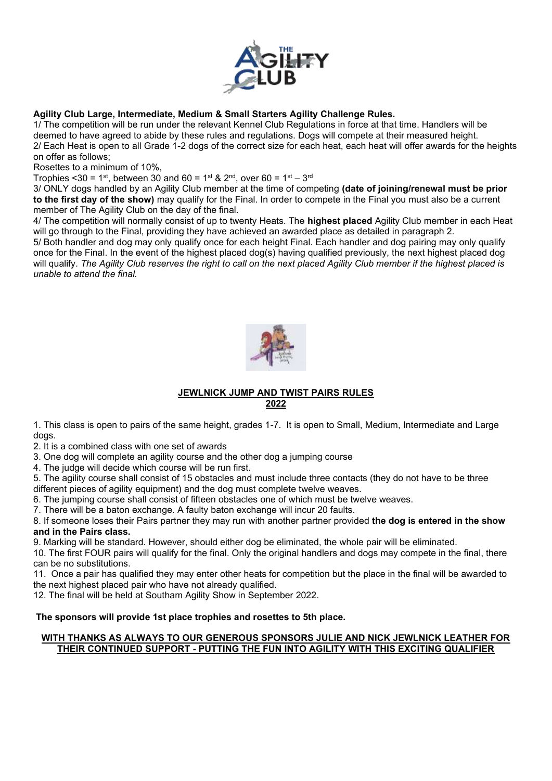

# **Agility Club Large, Intermediate, Medium & Small Starters Agility Challenge Rules.**

1/ The competition will be run under the relevant Kennel Club Regulations in force at that time. Handlers will be deemed to have agreed to abide by these rules and regulations. Dogs will compete at their measured height. 2/ Each Heat is open to all Grade 1-2 dogs of the correct size for each heat, each heat will offer awards for the heights on offer as follows;

Rosettes to a minimum of 10%,

Trophies <30 = 1<sup>st</sup>, between 30 and 60 = 1<sup>st</sup> & 2<sup>nd</sup>, over 60 = 1<sup>st</sup> – 3<sup>rd</sup>

3/ ONLY dogs handled by an Agility Club member at the time of competing **(date of joining/renewal must be prior to the first day of the show)** may qualify for the Final. In order to compete in the Final you must also be a current member of The Agility Club on the day of the final.

4/ The competition will normally consist of up to twenty Heats. The **highest placed** Agility Club member in each Heat will go through to the Final, providing they have achieved an awarded place as detailed in paragraph 2.

5/ Both handler and dog may only qualify once for each height Final. Each handler and dog pairing may only qualify once for the Final. In the event of the highest placed dog(s) having qualified previously, the next highest placed dog will qualify. *The Agility Club reserves the right to call on the next placed Agility Club member if the highest placed is unable to attend the final.*



# **JEWLNICK JUMP AND TWIST PAIRS RULES 2022**

1. This class is open to pairs of the same height, grades 1-7. It is open to Small, Medium, Intermediate and Large dogs.

2. It is a combined class with one set of awards

3. One dog will complete an agility course and the other dog a jumping course

4. The judge will decide which course will be run first.

5. The agility course shall consist of 15 obstacles and must include three contacts (they do not have to be three different pieces of agility equipment) and the dog must complete twelve weaves.

6. The jumping course shall consist of fifteen obstacles one of which must be twelve weaves.

7. There will be a baton exchange. A faulty baton exchange will incur 20 faults.

8. If someone loses their Pairs partner they may run with another partner provided **the dog is entered in the show and in the Pairs class.**

9. Marking will be standard. However, should either dog be eliminated, the whole pair will be eliminated.

10. The first FOUR pairs will qualify for the final. Only the original handlers and dogs may compete in the final, there can be no substitutions.

11. Once a pair has qualified they may enter other heats for competition but the place in the final will be awarded to the next highest placed pair who have not already qualified.

12. The final will be held at Southam Agility Show in September 2022.

# **The sponsors will provide 1st place trophies and rosettes to 5th place.**

# **WITH THANKS AS ALWAYS TO OUR GENEROUS SPONSORS JULIE AND NICK JEWLNICK LEATHER FOR THEIR CONTINUED SUPPORT - PUTTING THE FUN INTO AGILITY WITH THIS EXCITING QUALIFIER**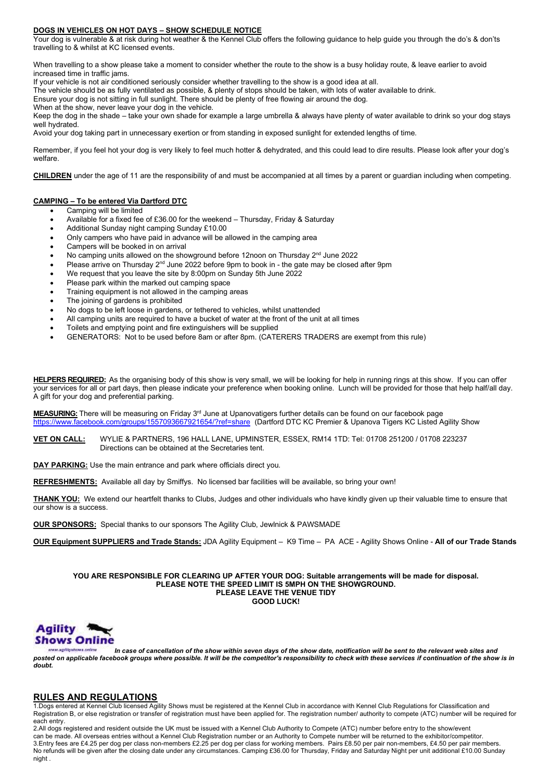#### **DOGS IN VEHICLES ON HOT DAYS – SHOW SCHEDULE NOTICE**

Your dog is vulnerable & at risk during hot weather & the Kennel Club offers the following guidance to help guide you through the do's & don'ts travelling to & whilst at KC licensed events.

When travelling to a show please take a moment to consider whether the route to the show is a busy holiday route, & leave earlier to avoid increased time in traffic jams.

If your vehicle is not air conditioned seriously consider whether travelling to the show is a good idea at all.

The vehicle should be as fully ventilated as possible, & plenty of stops should be taken, with lots of water available to drink.

Ensure your dog is not sitting in full sunlight. There should be plenty of free flowing air around the dog.

When at the show, never leave your dog in the vehicle.

Keep the dog in the shade – take your own shade for example a large umbrella & always have plenty of water available to drink so your dog stays well hydrated.

Avoid your dog taking part in unnecessary exertion or from standing in exposed sunlight for extended lengths of time.

Remember, if you feel hot your dog is very likely to feel much hotter & dehydrated, and this could lead to dire results. Please look after your dog's welfare.

**CHILDREN** under the age of 11 are the responsibility of and must be accompanied at all times by a parent or guardian including when competing.

#### **CAMPING – To be entered Via Dartford DTC**

- Camping will be limited
- Available for a fixed fee of £36.00 for the weekend Thursday, Friday & Saturday
- Additional Sunday night camping Sunday £10.00
- Only campers who have paid in advance will be allowed in the camping area
- Campers will be booked in on arrival
- No camping units allowed on the showground before 12noon on Thursday  $2<sup>nd</sup>$  June 2022
- Please arrive on Thursday  $2<sup>nd</sup>$  June 2022 before 9pm to book in the gate may be closed after 9pm
- We request that you leave the site by 8:00pm on Sunday 5th June 2022
- Please park within the marked out camping space
- Training equipment is not allowed in the camping areas
- The joining of gardens is prohibited
- No dogs to be left loose in gardens, or tethered to vehicles, whilst unattended
- All camping units are required to have a bucket of water at the front of the unit at all times
- Toilets and emptying point and fire extinguishers will be supplied
- GENERATORS: Not to be used before 8am or after 8pm. (CATERERS TRADERS are exempt from this rule)

**HELPERS REQUIRED:** As the organising body of this show is very small, we will be looking for help in running rings at this show. If you can offer your services for all or part days, then please indicate your preference when booking online. Lunch will be provided for those that help half/all day. A gift for your dog and preferential parking.

MEASURING: There will be measuring on Friday 3<sup>rd</sup> June at Upanovatigers further details can be found on our facebook page <https://www.facebook.com/groups/1557093667921654/?ref=share>(Dartford DTC KC Premier & Upanova Tigers KC Listed Agility Show

**VET ON CALL:** WYLIE & PARTNERS, 196 HALL LANE, UPMINSTER, ESSEX, RM14 1TD: Tel: 01708 251200 / 01708 223237 Directions can be obtained at the Secretaries tent.

**DAY PARKING:** Use the main entrance and park where officials direct you.

**REFRESHMENTS:** Available all day by Smiffys. No licensed bar facilities will be available, so bring your own!

**THANK YOU:** We extend our heartfelt thanks to Clubs, Judges and other individuals who have kindly given up their valuable time to ensure that our show is a success.

**OUR SPONSORS:** Special thanks to our sponsors The Agility Club, Jewlnick & PAWSMADE

**OUR Equipment SUPPLIERS and Trade Stands:** JDA Agility Equipment – K9 Time – PA ACE - Agility Shows Online - **All of our Trade Stands**

**YOU ARE RESPONSIBLE FOR CLEARING UP AFTER YOUR DOG: Suitable arrangements will be made for disposal. PLEASE NOTE THE SPEED LIMIT IS 5MPH ON THE SHOWGROUND. PLEASE LEAVE THE VENUE TIDY GOOD LUCK!**



and Archive *In case of cancellation of the show within seven days of the show date, notification will be sent to the relevant web sites and posted on applicable facebook groups where possible. It will be the competitor's responsibility to check with these services if continuation of the show is in doubt.*

# **RULES AND REGULATIONS**

1.Dogs entered at Kennel Club licensed Agility Shows must be registered at the Kennel Club in accordance with Kennel Club Regulations for Classification and Registration B, or else registration or transfer of registration must have been applied for. The registration number/ authority to compete (ATC) number will be required for each entry.

2.All dogs registered and resident outside the UK must be issued with a Kennel Club Authority to Compete (ATC) number before entry to the show/event can be made. All overseas entries without a Kennel Club Registration number or an Authority to Compete number will be returned to the exhibitor/competitor. 3.Entry fees are £4.25 per dog per class non-members £2.25 per dog per class for working members. Pairs £8.50 per pair non-members, £4.50 per pair members. No refunds will be given after the closing date under any circumstances. Camping £36.00 for Thursday, Friday and Saturday Night per unit additional £10.00 Sunday night .